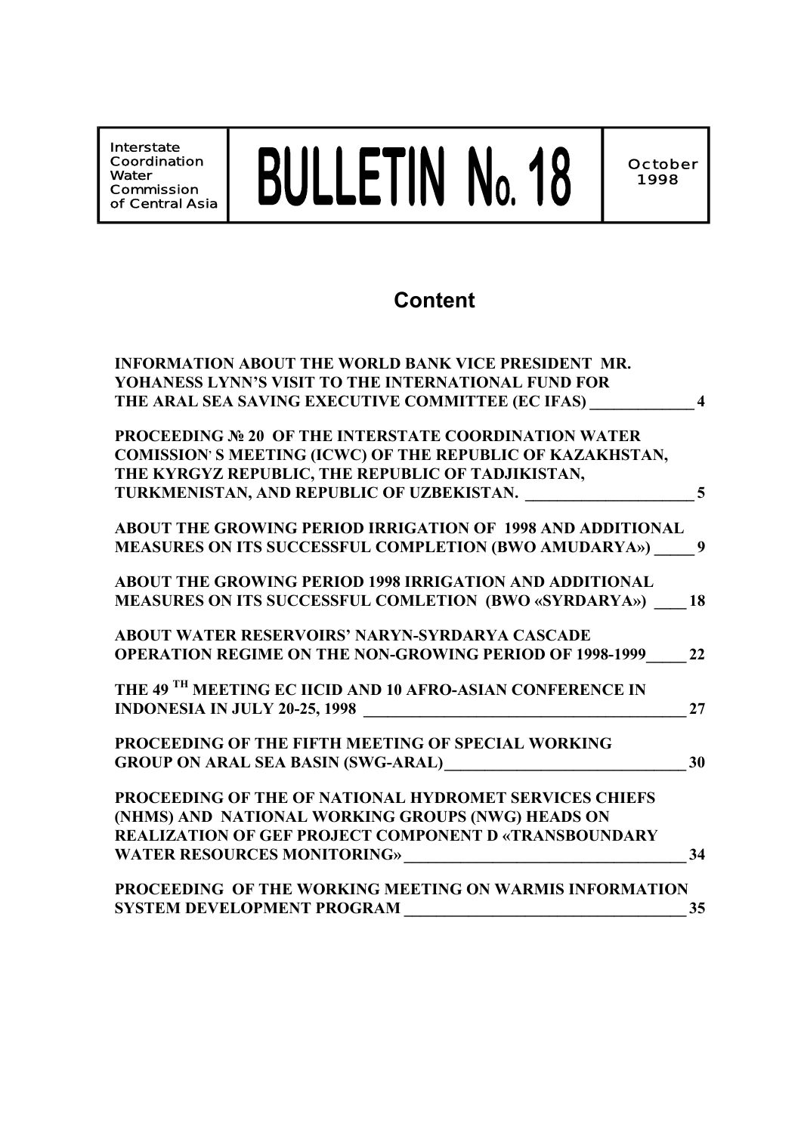**Interstate Coordination Water Commission of Central Asia** BULLETIN No. 18

## **Content**

| <b>INFORMATION ABOUT THE WORLD BANK VICE PRESIDENT MR.</b>            |                         |
|-----------------------------------------------------------------------|-------------------------|
| <b>YOHANESS LYNN'S VISIT TO THE INTERNATIONAL FUND FOR</b>            |                         |
| THE ARAL SEA SAVING EXECUTIVE COMMITTEE (EC IFAS)                     | $\overline{\mathbf{4}}$ |
| <b>PROCEEDING Nº 20 OF THE INTERSTATE COORDINATION WATER</b>          |                         |
| COMISSION'S MEETING (ICWC) OF THE REPUBLIC OF KAZAKHSTAN,             |                         |
| THE KYRGYZ REPUBLIC, THE REPUBLIC OF TADJIKISTAN,                     |                         |
| TURKMENISTAN, AND REPUBLIC OF UZBEKISTAN.                             | 5                       |
| ABOUT THE GROWING PERIOD IRRIGATION OF 1998 AND ADDITIONAL            |                         |
| MEASURES ON ITS SUCCESSFUL COMPLETION (BWO AMUDARYA»)                 | 9                       |
| <b>ABOUT THE GROWING PERIOD 1998 IRRIGATION AND ADDITIONAL</b>        |                         |
| <b>MEASURES ON ITS SUCCESSFUL COMLETION (BWO «SYRDARYA»)</b>          | 18                      |
| <b>ABOUT WATER RESERVOIRS' NARYN-SYRDARYA CASCADE</b>                 |                         |
| <b>OPERATION REGIME ON THE NON-GROWING PERIOD OF 1998-1999</b>        | 22                      |
| THE 49 <sup>TH</sup> MEETING EC IICID AND 10 AFRO-ASIAN CONFERENCE IN |                         |
| <b>INDONESIA IN JULY 20-25, 1998</b>                                  | 27                      |
| PROCEEDING OF THE FIFTH MEETING OF SPECIAL WORKING                    |                         |
| <b>GROUP ON ARAL SEA BASIN (SWG-ARAL)</b>                             | 30                      |
| PROCEEDING OF THE OF NATIONAL HYDROMET SERVICES CHIEFS                |                         |
| (NHMS) AND NATIONAL WORKING GROUPS (NWG) HEADS ON                     |                         |
| <b>REALIZATION OF GEF PROJECT COMPONENT D «TRANSBOUNDARY</b>          |                         |
| <b>WATER RESOURCES MONITORING»</b>                                    | 34                      |
| PROCEEDING OF THE WORKING MEETING ON WARMIS INFORMATION               |                         |
| <b>SYSTEM DEVELOPMENT PROGRAM</b>                                     | 35                      |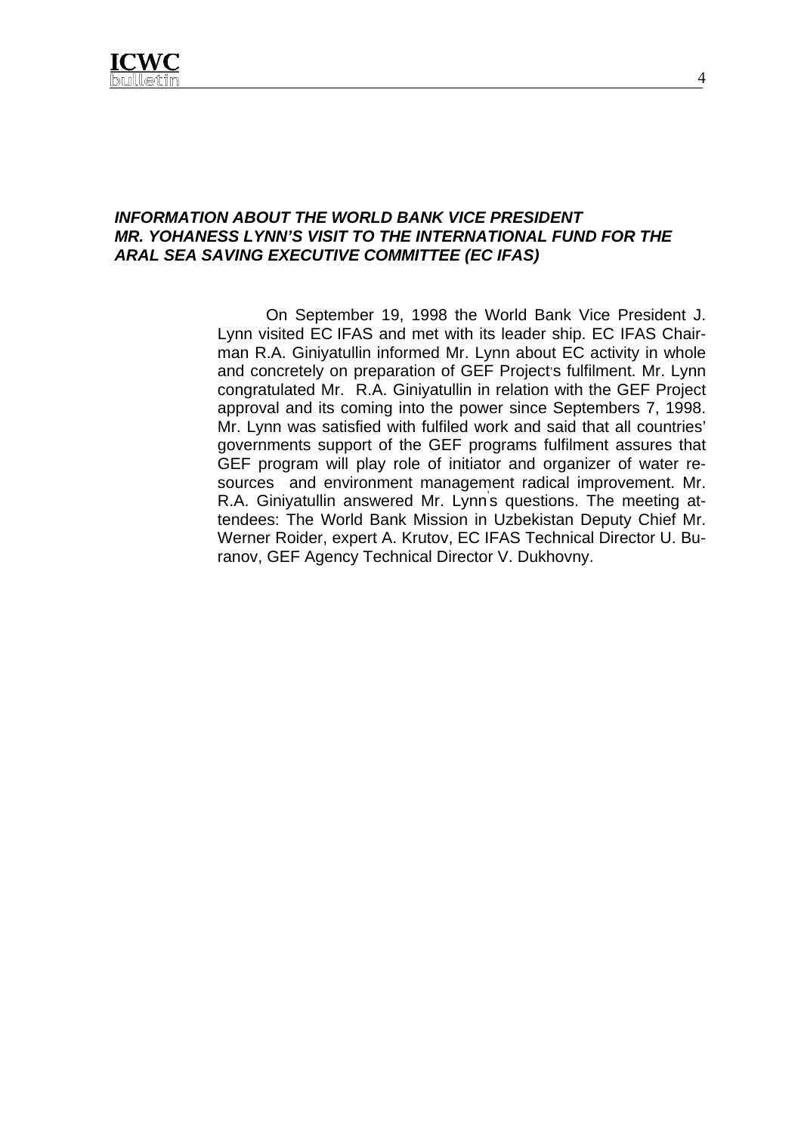

#### *INFORMATION ABOUT THE WORLD BANK VICE PRESIDENT MR. YOHANESS LYNN'S VISIT TO THE INTERNATIONAL FUND FOR THE ARAL SEA SAVING EXECUTIVE COMMITTEE (EC IFAS)*

On September 19, 1998 the World Bank Vice President J. Lynn visited EC IFAS and met with its leader ship. EC IFAS Chairman R.A. Giniyatullin informed Mr. Lynn about EC activity in whole and concretely on preparation of GEF Project's fulfilment. Mr. Lynn congratulated Mr. R.A. Giniyatullin in relation with the GEF Project approval and its coming into the power since Septembers 7, 1998. Mr. Lynn was satisfied with fulfiled work and said that all countries' governments support of the GEF programs fulfilment assures that GEF program will play role of initiator and organizer of water resources and environment management radical improvement. Mr. R.A. Giniyatullin answered Mr. Lynn' s questions. The meeting attendees: The World Bank Mission in Uzbekistan Deputy Chief Mr. Werner Roider, expert A. Krutov, EC IFAS Technical Director U. Buranov, GEF Agency Technical Director V. Dukhovny.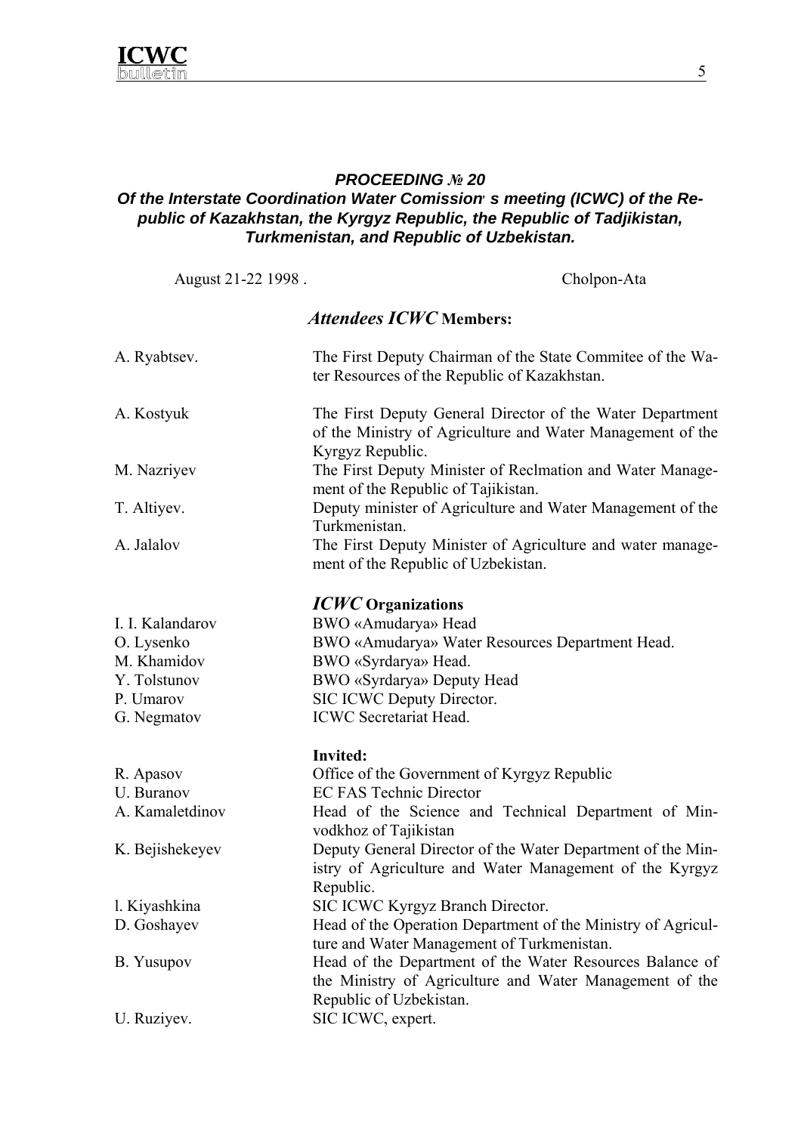

#### *PROCEEDING № 20*

## **Of the Interstate Coordination Water Comission s meeting (ICWC) of the Re***public of Kazakhstan, the Kyrgyz Republic, the Republic of Tadjikistan, Turkmenistan, and Republic of Uzbekistan.*

August 21-22 1998 . Cholpon-Ata

## *Attendees ICWC* **Members:**

| A. Ryabtsev.     | The First Deputy Chairman of the State Commitee of the Wa-<br>ter Resources of the Republic of Kazakhstan.                                     |
|------------------|------------------------------------------------------------------------------------------------------------------------------------------------|
| A. Kostyuk       | The First Deputy General Director of the Water Department<br>of the Ministry of Agriculture and Water Management of the<br>Kyrgyz Republic.    |
| M. Nazriyev      | The First Deputy Minister of Reclmation and Water Manage-<br>ment of the Republic of Tajikistan.                                               |
| T. Altiyev.      | Deputy minister of Agriculture and Water Management of the<br>Turkmenistan.                                                                    |
| A. Jalalov       | The First Deputy Minister of Agriculture and water manage-<br>ment of the Republic of Uzbekistan.                                              |
|                  | <b>ICWC</b> Organizations                                                                                                                      |
| I. I. Kalandarov | BWO «Amudarya» Head                                                                                                                            |
| O. Lysenko       | BWO «Amudarya» Water Resources Department Head.                                                                                                |
| M. Khamidov      | BWO «Syrdarya» Head.                                                                                                                           |
| Y. Tolstunov     | BWO «Syrdarya» Deputy Head                                                                                                                     |
| P. Umarov        | SIC ICWC Deputy Director.                                                                                                                      |
| G. Negmatov      | <b>ICWC</b> Secretariat Head.                                                                                                                  |
|                  | <b>Invited:</b>                                                                                                                                |
| R. Apasov        | Office of the Government of Kyrgyz Republic                                                                                                    |
| U. Buranov       | <b>EC FAS Technic Director</b>                                                                                                                 |
| A. Kamaletdinov  | Head of the Science and Technical Department of Min-<br>vodkhoz of Tajikistan                                                                  |
| K. Bejishekeyev  | Deputy General Director of the Water Department of the Min-<br>istry of Agriculture and Water Management of the Kyrgyz<br>Republic.            |
| 1. Kiyashkina    | SIC ICWC Kyrgyz Branch Director.                                                                                                               |
| D. Goshayev      | Head of the Operation Department of the Ministry of Agricul-<br>ture and Water Management of Turkmenistan.                                     |
| B. Yusupov       | Head of the Department of the Water Resources Balance of<br>the Ministry of Agriculture and Water Management of the<br>Republic of Uzbekistan. |
| U. Ruziyev.      | SIC ICWC, expert.                                                                                                                              |
|                  |                                                                                                                                                |

5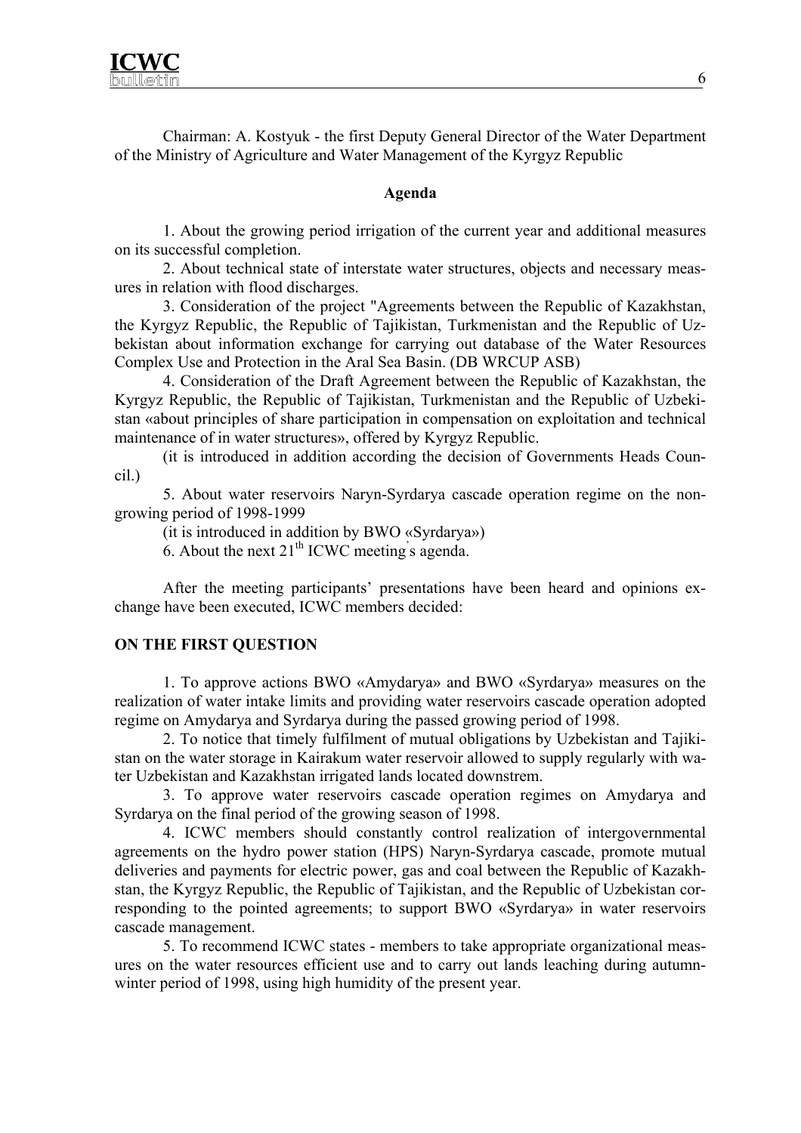Chairman: A. Kostyuk - the first Deputy General Director of the Water Department of the Ministry of Agriculture and Water Management of the Kyrgyz Republic

#### **Agenda**

1. About the growing period irrigation of the current year and additional measures on its successful completion.

2. About technical state of interstate water structures, objects and necessary measures in relation with flood discharges.

3. Consideration of the project "Agreements between the Republic of Kazakhstan, the Kyrgyz Republic, the Republic of Tajikistan, Turkmenistan and the Republic of Uzbekistan about information exchange for carrying out database of the Water Resources Complex Use and Protection in the Aral Sea Basin. (DB WRCUP ASB)

4. Consideration of the Draft Agreement between the Republic of Kazakhstan, the Kyrgyz Republic, the Republic of Tajikistan, Turkmenistan and the Republic of Uzbekistan «about principles of share participation in compensation on exploitation and technical maintenance of in water structures», offered by Kyrgyz Republic.

(it is introduced in addition according the decision of Governments Heads Council.)

5. About water reservoirs Naryn-Syrdarya cascade operation regime on the nongrowing period of 1998-1999

(it is introduced in addition by BWO «Syrdarya»)

6. About the next  $21<sup>th</sup>$  ICWC meeting's agenda.

After the meeting participants' presentations have been heard and opinions exchange have been executed, ICWC members decided:

#### **ON THE FIRST QUESTION**

1. To approve actions BWO «Amydarya» and BWO «Syrdarya» measures on the realization of water intake limits and providing water reservoirs cascade operation adopted regime on Amydarya and Syrdarya during the passed growing period of 1998.

2. To notice that timely fulfilment of mutual obligations by Uzbekistan and Tajikistan on the water storage in Kairakum water reservoir allowed to supply regularly with water Uzbekistan and Kazakhstan irrigated lands located downstrem.

3. To approve water reservoirs cascade operation regimes on Amydarya and Syrdarya on the final period of the growing season of 1998.

4. ICWC members should constantly control realization of intergovernmental agreements on the hydro power station (HPS) Naryn-Syrdarya cascade, promote mutual deliveries and payments for electric power, gas and coal between the Republic of Kazakhstan, the Kyrgyz Republic, the Republic of Tajikistan, and the Republic of Uzbekistan corresponding to the pointed agreements; to support BWO «Syrdarya» in water reservoirs cascade management.

5. To recommend ICWC states - members to take appropriate organizational measures on the water resources efficient use and to carry out lands leaching during autumnwinter period of 1998, using high humidity of the present year.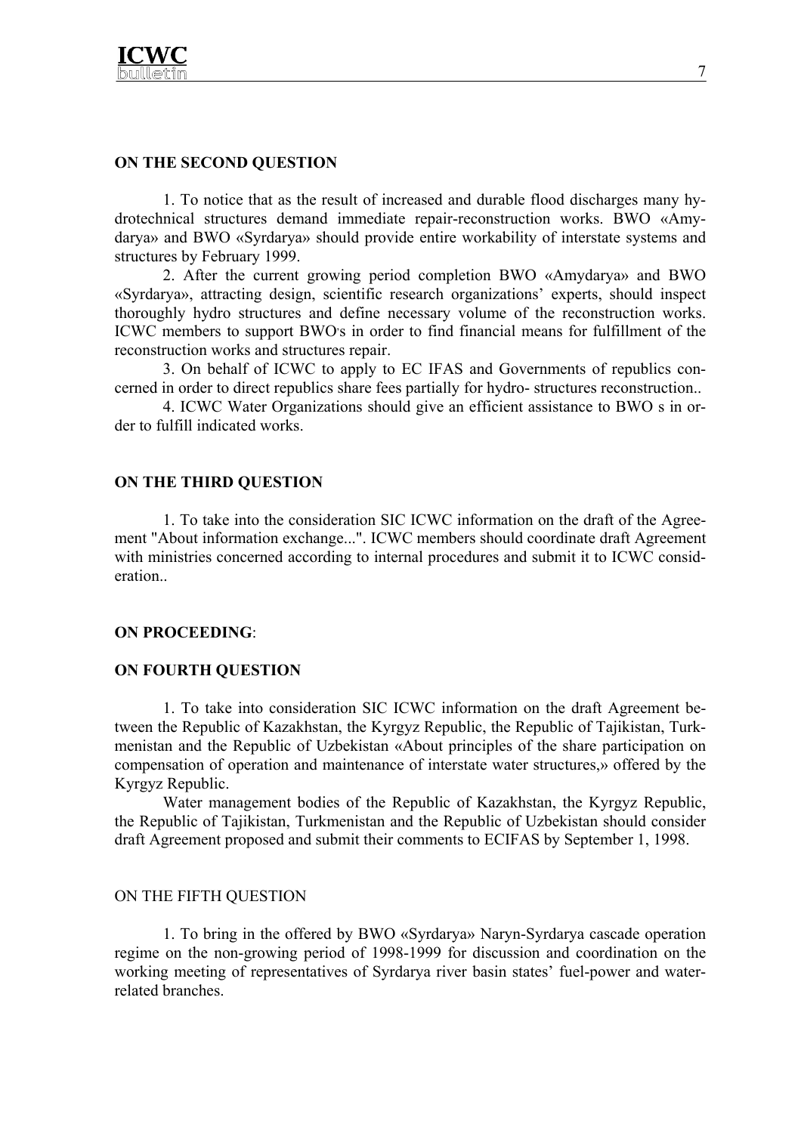

#### **ON THE SECOND QUESTION**

 1. To notice that as the result of increased and durable flood discharges many hydrotechnical structures demand immediate repair-reconstruction works. BWO «Amydarya» and BWO «Syrdarya» should provide entire workability of interstate systems and structures by February 1999.

 2. After the current growing period completion BWO «Amydarya» and BWO «Syrdarya», attracting design, sсientific research organizations' experts, should inspect thoroughly hydro structures and define necessary volume of the reconstruction works. ICWC members to support BWO's in order to find financial means for fulfillment of the reconstruction works and structures repair.

 3. On behalf of ICWC to apply to EC IFAS and Governments of republics concerned in order to direct republics share fees partially for hydro- structures reconstruction..

 4. ICWC Water Organizations should give an efficient assistance to BWO s in order to fulfill indicated works.

#### **ON THE THIRD QUESTION**

1. To take into the consideration SIC ICWC information on the draft of the Agreement "About information exchange...". ICWC members should coordinate draft Agreement with ministries concerned according to internal procedures and submit it to ICWC consideration..

#### **ON PROCEEDING**:

#### **ON FOURTH QUESTION**

1. To take into consideration SIC ICWC information on the draft Agreement between the Republic of Kazakhstan, the Kyrgyz Republic, the Republic of Tajikistan, Turkmenistan and the Republic of Uzbekistan «About principles of the share participation on compensation of operation and maintenance of interstate water structures,» offered by the Kyrgyz Republic.

Water management bodies of the Republic of Kazakhstan, the Kyrgyz Republic, the Republic of Tajikistan, Turkmenistan and the Republic of Uzbekistan should consider draft Agreement proposed and submit their comments to ECIFAS by September 1, 1998.

#### ON THE FIFTH QUESTION

 1. To bring in the offered by BWO «Syrdarya» Naryn-Syrdarya cascade operation regime on the non-growing period of 1998-1999 for discussion and coordination on the working meeting of representatives of Syrdarya river basin states' fuel-power and waterrelated branches.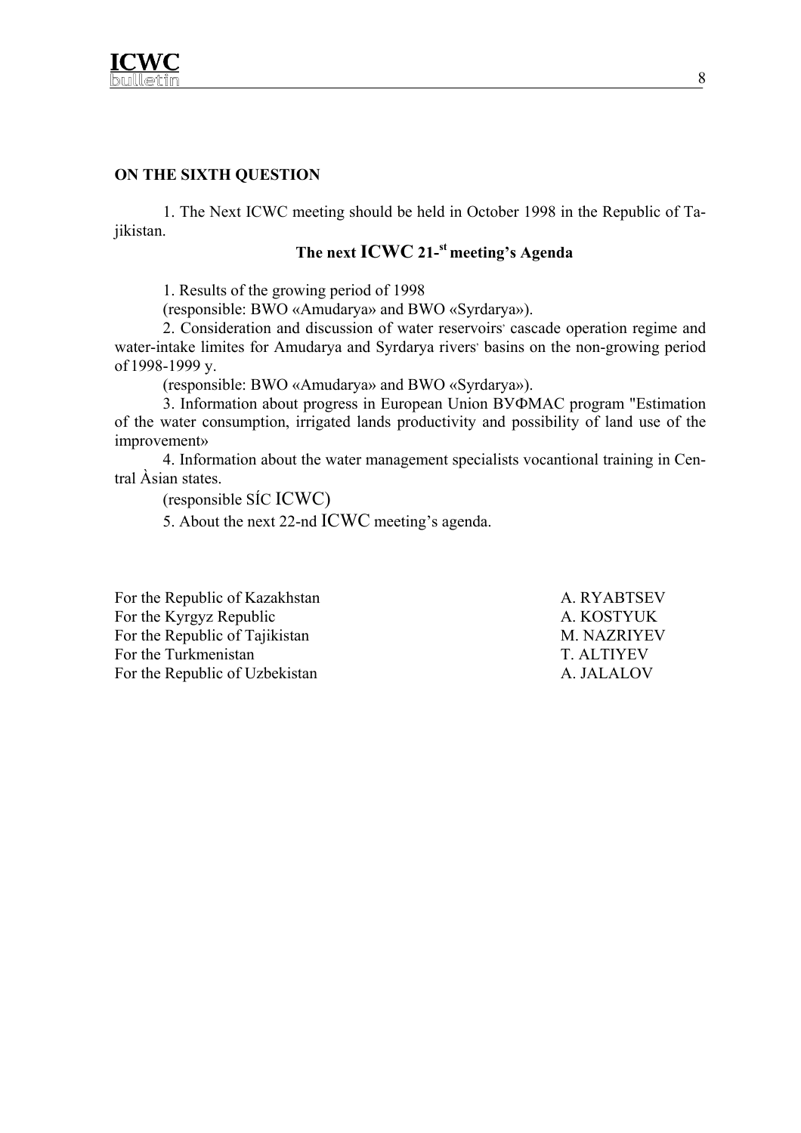

#### **ON THE SIXTH QUESTION**

1. The Next ICWC meeting should be held in October 1998 in the Republic of Tajikistan.

## The next **ICWC** 21-<sup>st</sup> meeting's Agenda

1. Results of the growing period of 1998

(responsible: BWO «Amudarya» and BWO «Syrdarya»).

2. Consideration and discussion of water reservoirs' cascade operation regime and water-intake limites for Amudarya and Syrdarya rivers' basins on the non-growing period of 1998-1999 y.

(responsible: BWO «Amudarya» and BWO «Syrdarya»).

3. Information about progress in European Union ВУФМАС program "Estimation of the water consumption, irrigated lands productivity and possibility of land use of the improvement»

4. Information about the water management specialists vocantional training in Central Àsian states.

(responsible SÍC ICWC)

5. About the next 22-nd ICWC meeting's agenda.

For the Republic of Kazakhstan A. RYABTSEV For the Kyrgyz Republic A. KOSTYUK For the Republic of Tajikistan M. NAZRIYEV For the Turkmenistan T. ALTIYEV For the Republic of Uzbekistan A. JALALOV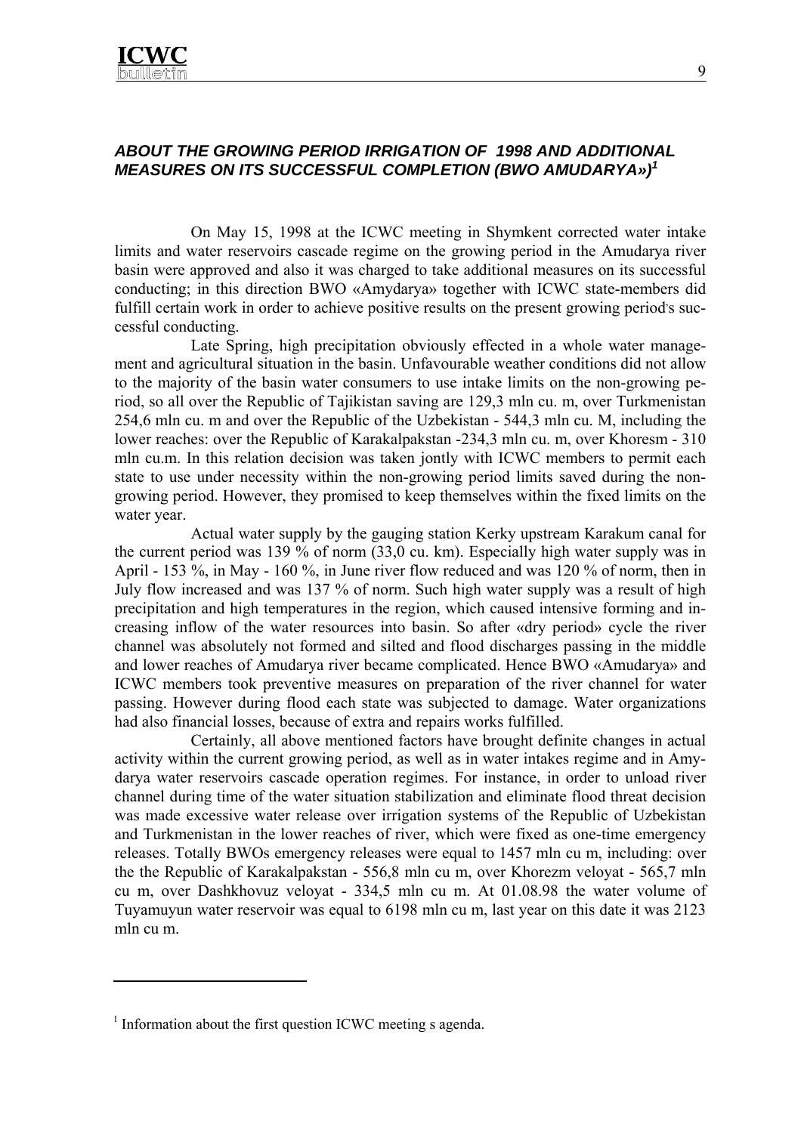

#### *ABOUT THE GROWING PERIOD IRRIGATION OF 1998 AND ADDITIONAL MEASURES ON ITS SUCCESSFUL COMPLETION (BWO AMUDARYA»)1*

On May 15, 1998 at the ICWC meeting in Shymkent corrected water intake limits and water reservoirs cascade regime on the growing period in the Amudarya river basin were approved and also it was charged to take additional measures on its successful conducting; in this direction BWO «Amydarya» together with ICWC state-members did fulfill certain work in order to achieve positive results on the present growing period's successful conducting.

Late Spring, high precipitation obviously effected in a whole water management and agricultural situation in the basin. Unfavourable weather conditions did not allow to the majority of the basin water consumers to use intake limits on the non-growing period, so all over the Republic of Tajikistan saving are 129,3 mln cu. m, over Turkmenistan 254,6 mln cu. m and over the Republic of the Uzbekistan - 544,3 mln cu. M, including the lower reaches: over the Republic of Karakalpakstan -234,3 mln cu. m, over Khoresm - 310 mln cu.m. In this relation decision was taken jontly with ICWC members to permit each state to use under necessity within the non-growing period limits saved during the nongrowing period. However, they promised to keep themselves within the fixed limits on the water year.

Actual water supply by the gauging station Kerky upstream Karakum canal for the current period was 139 % of norm (33,0 cu. km). Especially high water supply was in April - 153 %, in May - 160 %, in June river flow reduced and was 120 % of norm, then in July flow increased and was 137 % of norm. Such high water supply was a result of high precipitation and high temperatures in the region, which caused intensive forming and increasing inflow of the water resources into basin. So after «dry period» cycle the river channel was absolutely not formed and silted and flood discharges passing in the middle and lower reaches of Amudarya river became complicated. Hence BWO «Amudarya» and ICWC members took preventive measures on preparation of the river channel for water passing. However during flood each state was subjected to damage. Water organizations had also financial losses, because of extra and repairs works fulfilled.

Certainly, all above mentioned factors have brought definite changes in actual activity within the current growing period, as well as in water intakes regime and in Amydarya water reservoirs cascade operation regimes. For instance, in order to unload river channel during time of the water situation stabilization and eliminate flood threat decision was made excessive water release over irrigation systems of the Republic of Uzbekistan and Turkmenistan in the lower reaches of river, which were fixed as one-time emergency releases. Totally BWOs emergency releases were equal to 1457 mln cu m, including: over the the Republic of Karakalpakstan - 556,8 mln cu m, over Khorezm veloyat - 565,7 mln cu m, over Dashkhovuz veloyat - 334,5 mln cu m. At 01.08.98 the water volume of Tuyamuyun water reservoir was equal to 6198 mln cu m, last year on this date it was 2123 mln cu m.

 $\overline{a}$ 

<sup>&</sup>lt;sup>1</sup> Information about the first question ICWC meeting s agenda.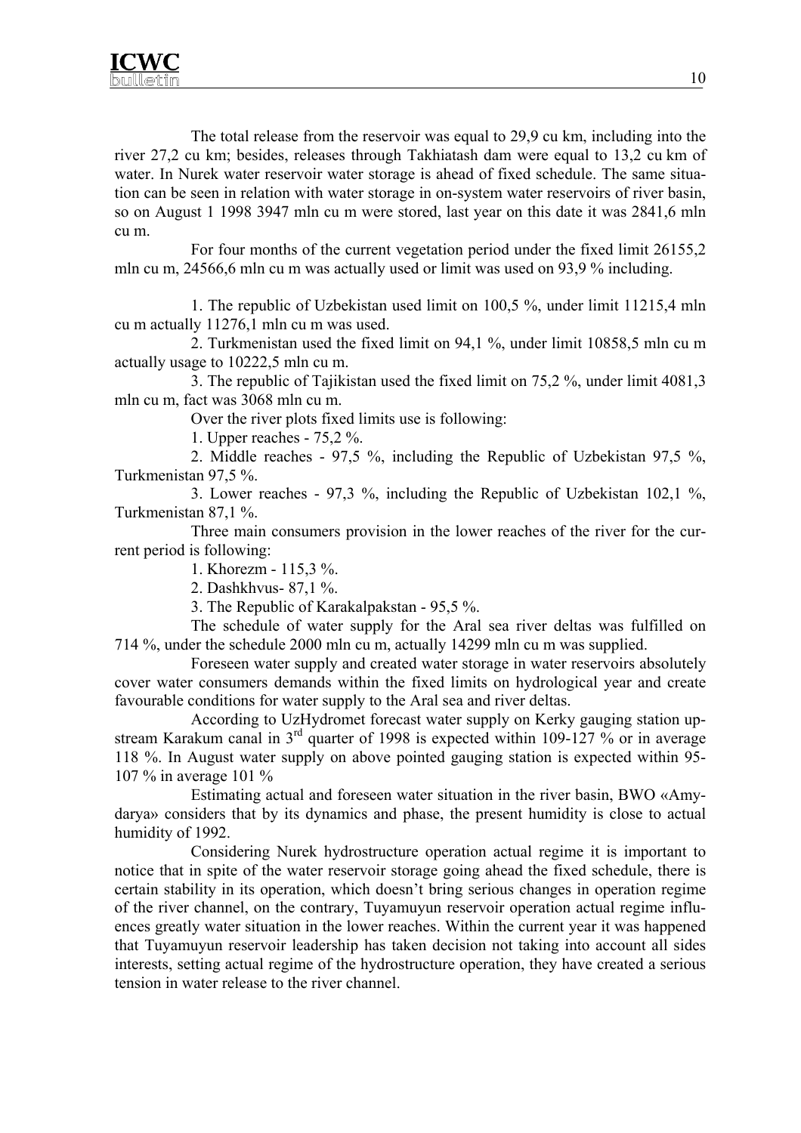The total release from the reservoir was equal to 29,9 cu km, including into the river 27,2 cu km; besides, releases through Takhiatash dam were equal to 13,2 cu km of water. In Nurek water reservoir water storage is ahead of fixed schedule. The same situation can be seen in relation with water storage in on-system water reservoirs of river basin, so on August 1 1998 3947 mln cu m were stored, last year on this date it was 2841,6 mln cu m.

For four months of the current vegetation period under the fixed limit 26155,2 mln cu m, 24566,6 mln cu m was actually used or limit was used on 93,9 % including.

1. The republic of Uzbekistan used limit on 100,5 %, under limit 11215,4 mln cu m actually 11276,1 mln cu m was used.

2. Turkmenistan used the fixed limit on 94,1 %, under limit 10858,5 mln cu m actually usage to 10222,5 mln cu m.

3. The republic of Tajikistan used the fixed limit on 75,2 %, under limit 4081,3 mln cu m, fact was 3068 mln cu m.

Over the river plots fixed limits use is following:

1. Upper reaches - 75,2 %.

2. Middle reaches - 97,5 %, including the Republic of Uzbekistan 97,5 %, Turkmenistan 97,5 %.

3. Lower reaches - 97,3 %, including the Republic of Uzbekistan 102,1 %, Turkmenistan 87,1 %.

Three main consumers provision in the lower reaches of the river for the current period is following:

1. Khorezm - 115,3 %.

2. Dashkhvus- 87,1 %.

3. The Republic of Karakalpakstan - 95,5 %.

The schedule of water supply for the Aral sea river deltas was fulfilled on 714 %, under the schedule 2000 mln cu m, actually 14299 mln cu m was supplied.

Foreseen water supply and created water storage in water reservoirs absolutely cover water consumers demands within the fixed limits on hydrological year and create favourable conditions for water supply to the Aral sea and river deltas.

According to UzHydromet forecast water supply on Kerky gauging station upstream Karakum canal in  $3<sup>rd</sup>$  quarter of 1998 is expected within 109-127 % or in average 118 %. In August water supply on above pointed gauging station is expected within 95- 107 % in average 101 %

Estimating actual and foreseen water situation in the river basin, BWO «Amydarya» considers that by its dynamics and phase, the present humidity is close to actual humidity of 1992.

Considering Nurek hydrostructure operation actual regime it is important to notice that in spite of the water reservoir storage going ahead the fixed schedule, there is certain stability in its operation, which doesn't bring serious changes in operation regime of the river channel, on the contrary, Tuyamuyun reservoir operation actual regime influences greatly water situation in the lower reaches. Within the current year it was happened that Tuyamuyun reservoir leadership has taken decision not taking into account all sides interests, setting actual regime of the hydrostructure operation, they have created a serious tension in water release to the river channel.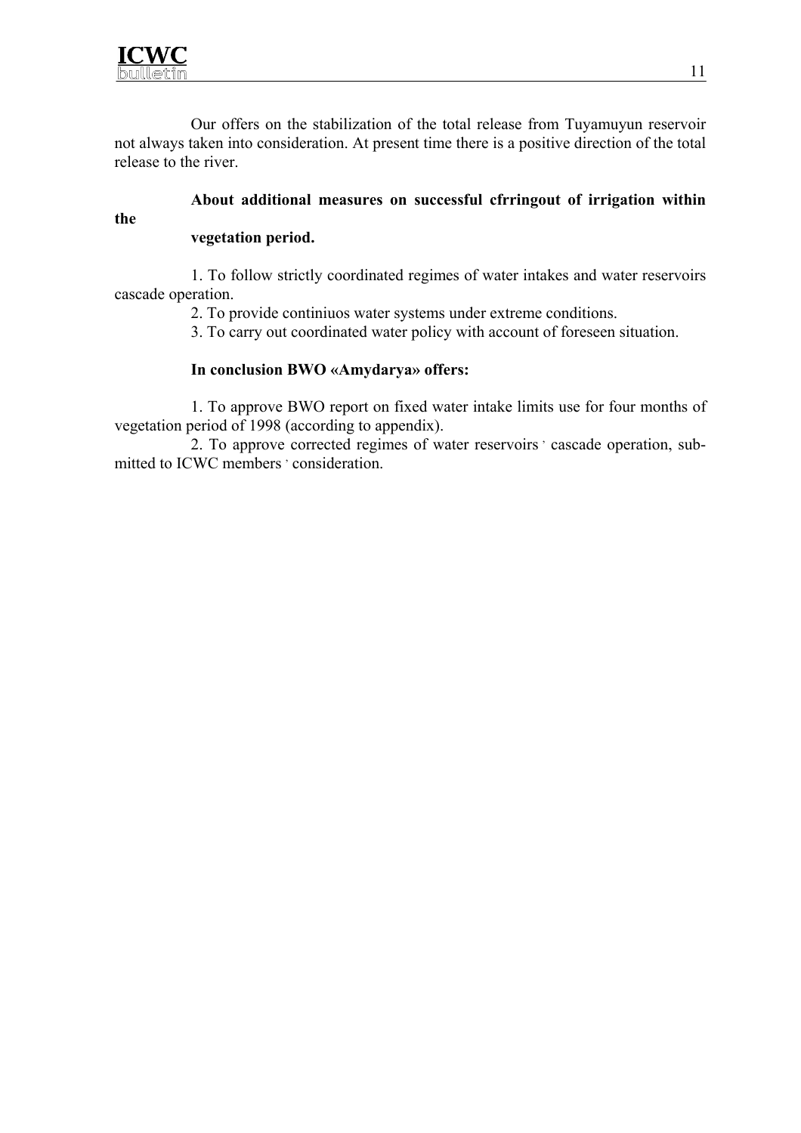

**the** 

Our offers on the stabilization of the total release from Tuyamuyun reservoir not always taken into consideration. At present time there is a positive direction of the total release to the river.

# **About additional measures on successful cfrringout of irrigation within**

#### **vegetation period.**

1. To follow strictly coordinated regimes of water intakes and water reservoirs cascade operation.

2. To provide continiuos water systems under extreme conditions.

3. To carry out coordinated water policy with account of foreseen situation.

#### **In conclusion BWO «Amydarya» offers:**

1. To approve BWO report on fixed water intake limits use for four months of vegetation period of 1998 (according to appendix).

2. To approve corrected regimes of water reservoirs ' cascade operation, submitted to ICWC members ' consideration.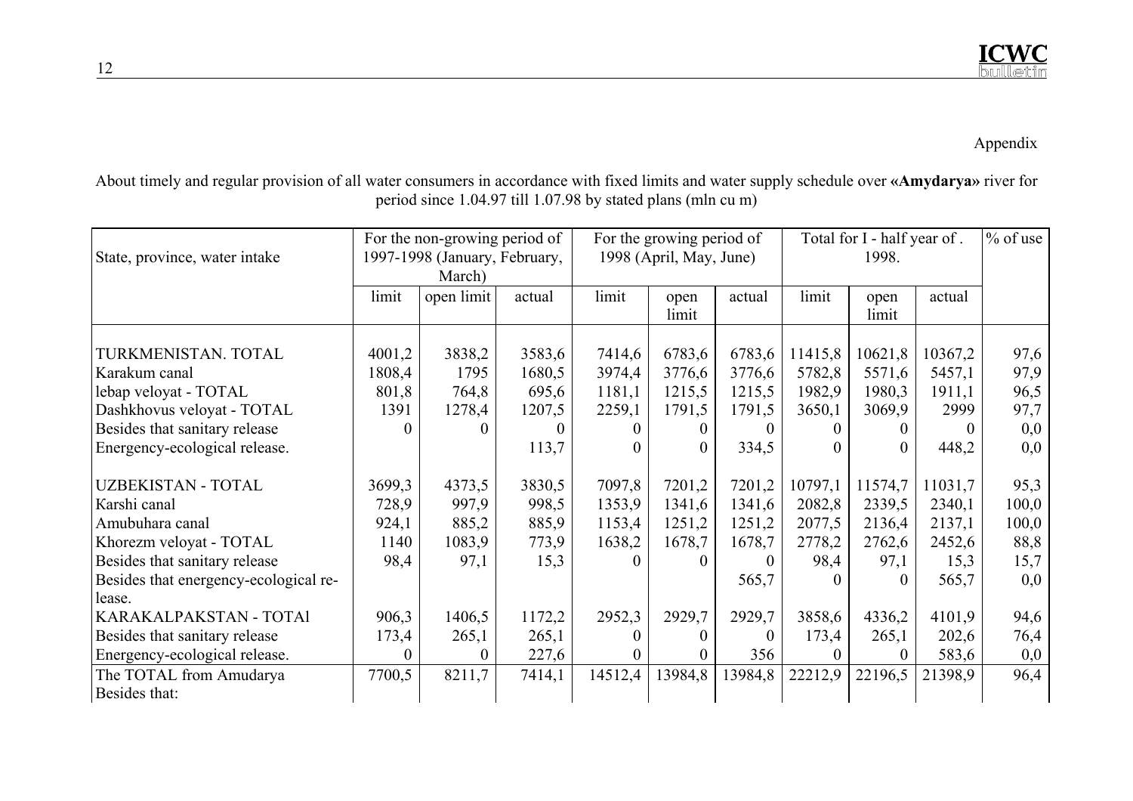## Appendix

About timely and regular provision of all water consumers in accordance with fixed limits and water supply schedule over **«Amydarya»** river for period since 1.04.97 till 1.07.98 by stated plans (mln cu m)

| State, province, water intake         | For the non-growing period of<br>1997-1998 (January, February,<br>March) |            |          | For the growing period of<br>1998 (April, May, June) |               |         | Total for I - half year of.<br>1998. |               |          | $%$ of use |
|---------------------------------------|--------------------------------------------------------------------------|------------|----------|------------------------------------------------------|---------------|---------|--------------------------------------|---------------|----------|------------|
|                                       | limit                                                                    | open limit | actual   | limit                                                | open<br>limit | actual  | limit                                | open<br>limit | actual   |            |
| TURKMENISTAN. TOTAL                   | 4001,2                                                                   | 3838,2     | 3583,6   | 7414,6                                               | 6783,6        | 6783,6  | 11415,8                              | 10621,8       | 10367,2  | 97,6       |
| Karakum canal                         | 1808,4                                                                   | 1795       | 1680,5   | 3974,4                                               | 3776,6        | 3776,6  | 5782,8                               | 5571,6        | 5457,1   | 97,9       |
| lebap veloyat - TOTAL                 | 801,8                                                                    | 764,8      | 695,6    | 1181,1                                               | 1215,5        | 1215,5  | 1982,9                               | 1980,3        | 1911,1   | 96,5       |
| Dashkhovus veloyat - TOTAL            | 1391                                                                     | 1278,4     | 1207,5   | 2259,1                                               | 1791,5        | 1791,5  | 3650,1                               | 3069,9        | 2999     | 97,7       |
| Besides that sanitary release         | $\Omega$                                                                 | 0          | $\theta$ |                                                      |               |         | $\Omega$                             |               | $\theta$ | 0,0        |
| Energency-ecological release.         |                                                                          |            | 113,7    | 0                                                    |               | 334,5   | $\Omega$                             |               | 448,2    | 0,0        |
| <b>UZBEKISTAN - TOTAL</b>             | 3699,3                                                                   | 4373,5     | 3830,5   | 7097,8                                               | 7201,2        | 7201,2  | 10797,1                              | 11574,7       | 11031,7  | 95,3       |
| Karshi canal                          | 728,9                                                                    | 997,9      | 998,5    | 1353,9                                               | 1341,6        | 1341,6  | 2082,8                               | 2339,5        | 2340,1   | 100,0      |
| Amubuhara canal                       | 924,1                                                                    | 885,2      | 885,9    | 1153,4                                               | 1251,2        | 1251,2  | 2077,5                               | 2136,4        | 2137,1   | 100,0      |
| Khorezm veloyat - TOTAL               | 1140                                                                     | 1083,9     | 773,9    | 1638,2                                               | 1678,7        | 1678,7  | 2778,2                               | 2762,6        | 2452,6   | 88,8       |
| Besides that sanitary release         | 98,4                                                                     | 97,1       | 15,3     |                                                      |               | 0       | 98,4                                 | 97,1          | 15,3     | 15,7       |
| Besides that energency-ecological re- |                                                                          |            |          |                                                      |               | 565,7   | $\Omega$                             |               | 565,7    | 0,0        |
| lease.                                |                                                                          |            |          |                                                      |               |         |                                      |               |          |            |
| KARAKALPAKSTAN - TOTAl                | 906,3                                                                    | 1406,5     | 1172,2   | 2952,3                                               | 2929,7        | 2929,7  | 3858,6                               | 4336,2        | 4101,9   | 94,6       |
| Besides that sanitary release         | 173,4                                                                    | 265,1      | 265,1    |                                                      |               | 0       | 173,4                                | 265,1         | 202,6    | 76,4       |
| Energency-ecological release.         | $\Omega$                                                                 | 0          | 227,6    | 0                                                    |               | 356     | $\theta$                             |               | 583,6    | 0,0        |
| The TOTAL from Amudarya               | 7700,5                                                                   | 8211,7     | 7414,1   | 14512,4                                              | 13984,8       | 13984,8 | 22212,9                              | 22196,5       | 21398,9  | 96,4       |
| Besides that:                         |                                                                          |            |          |                                                      |               |         |                                      |               |          |            |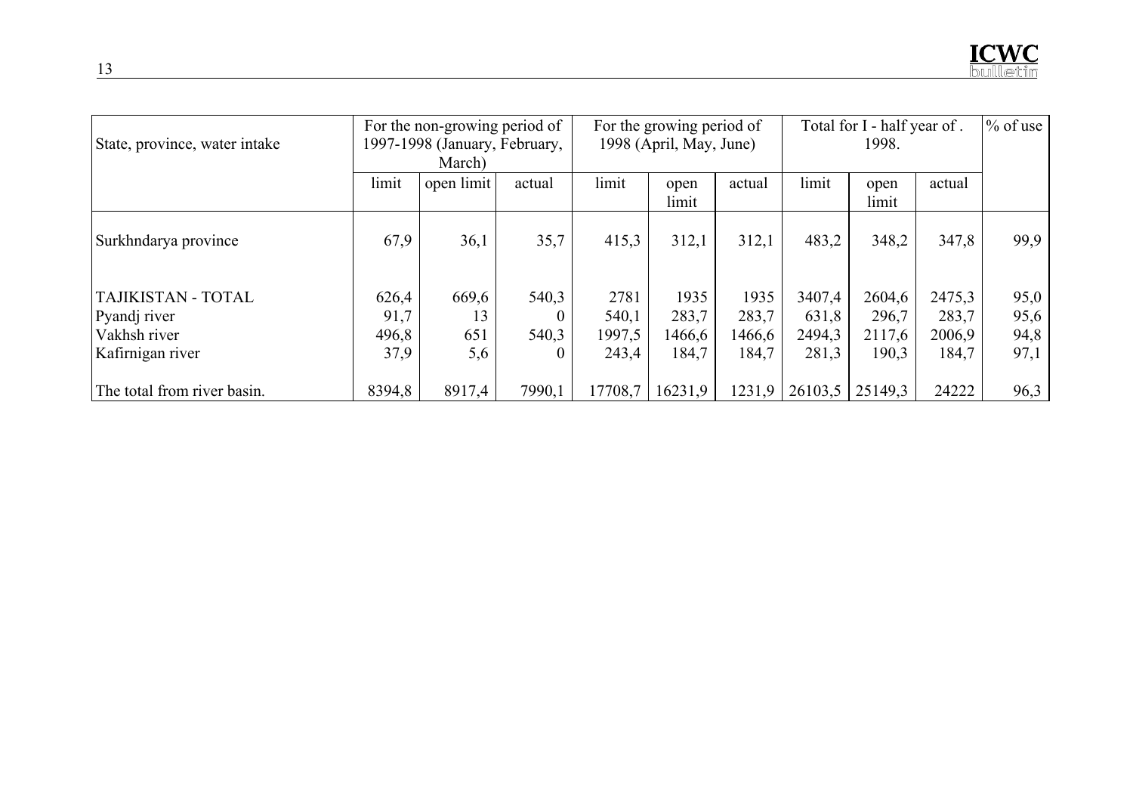| State, province, water intake | For the non-growing period of<br>1997-1998 (January, February, |            |                | For the growing period of<br>1998 (April, May, June) |               |        | Total for I - half year of.<br>1998. |               |        | $\%$ of use |
|-------------------------------|----------------------------------------------------------------|------------|----------------|------------------------------------------------------|---------------|--------|--------------------------------------|---------------|--------|-------------|
|                               |                                                                | March)     |                |                                                      |               |        |                                      |               |        |             |
|                               | limit                                                          | open limit | actual         | limit                                                | open<br>limit | actual | limit                                | open<br>limit | actual |             |
| Surkhndarya province          | 67,9                                                           | 36,1       | 35,7           | 415,3                                                | 312,1         | 312,1  | 483,2                                | 348,2         | 347,8  | 99,9        |
| TAJIKISTAN - TOTAL            | 626,4                                                          | 669,6      | 540,3          | 2781                                                 | 1935          | 1935   | 3407,4                               | 2604,6        | 2475,3 | 95,0        |
| Pyandj river                  | 91,7                                                           | 13         | $\theta$       | 540,1                                                | 283,7         | 283,7  | 631,8                                | 296,7         | 283,7  | 95,6        |
| Vakhsh river                  | 496,8                                                          | 651        | 540,3          | 1997,5                                               | 1466,6        | 1466,6 | 2494,3                               | 2117,6        | 2006,9 | 94,8        |
| Kafirnigan river              | 37,9                                                           | 5,6        | $\overline{0}$ | 243,4                                                | 184,7         | 184,7  | 281,3                                | 190,3         | 184,7  | 97,1        |
| The total from river basin.   | 8394,8                                                         | 8917,4     | 7990,1         | 17708.7                                              | 16231.9       | 1231.9 | 26103,5                              | 25149.3       | 24222  | 96,3        |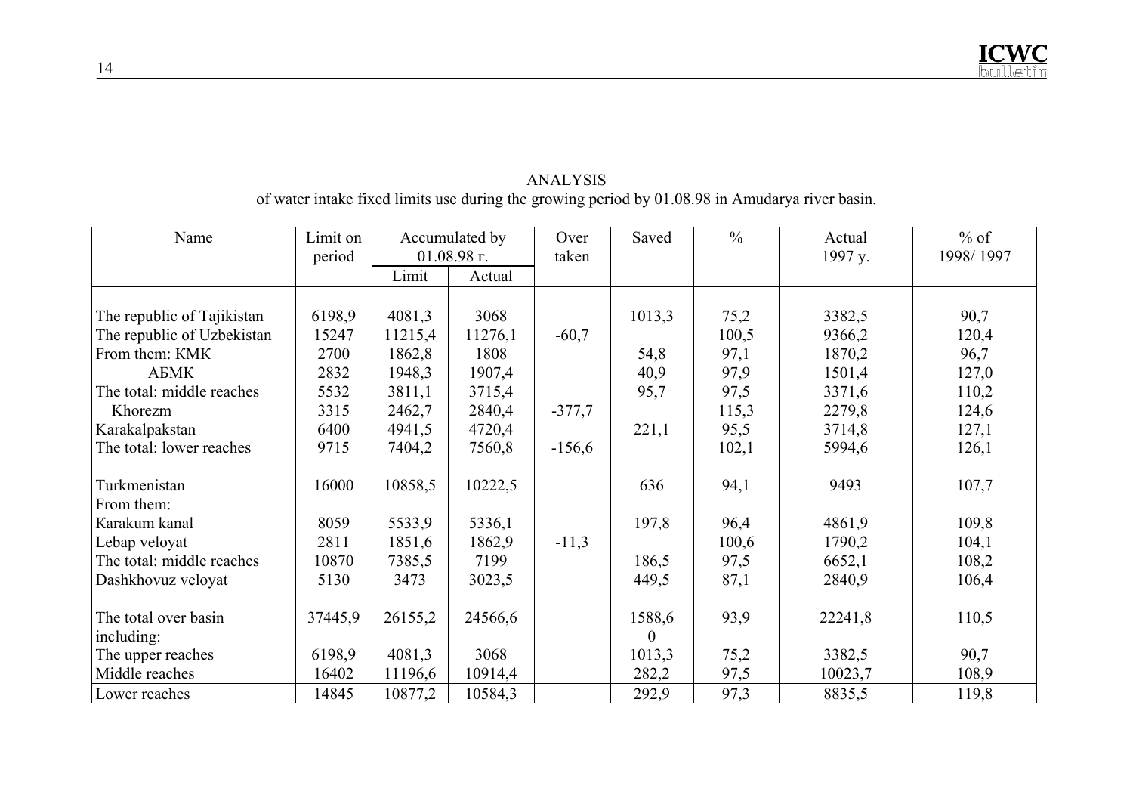## ANALYSIS<br>
of water intake fixed limits use during the growing period by 01.08.98 in Amudarya river basin.

| Name                       | Limit on | Accumulated by |               | Over     | Saved        | $\frac{0}{0}$ | Actual  | $%$ of    |
|----------------------------|----------|----------------|---------------|----------|--------------|---------------|---------|-----------|
|                            | period   |                | $01.08.98$ г. | taken    |              |               | 1997 y. | 1998/1997 |
|                            |          | Limit          | Actual        |          |              |               |         |           |
|                            |          |                |               |          |              |               |         |           |
| The republic of Tajikistan | 6198,9   | 4081,3         | 3068          |          | 1013,3       | 75,2          | 3382,5  | 90,7      |
| The republic of Uzbekistan | 15247    | 11215,4        | 11276,1       | $-60,7$  |              | 100,5         | 9366,2  | 120,4     |
| From them: KMK             | 2700     | 1862,8         | 1808          |          | 54,8         | 97,1          | 1870,2  | 96,7      |
| АБМК                       | 2832     | 1948,3         | 1907,4        |          | 40,9         | 97,9          | 1501,4  | 127,0     |
| The total: middle reaches  | 5532     | 3811,1         | 3715,4        |          | 95,7         | 97,5          | 3371,6  | 110,2     |
| Khorezm                    | 3315     | 2462,7         | 2840,4        | $-377,7$ |              | 115,3         | 2279,8  | 124,6     |
| Karakalpakstan             | 6400     | 4941,5         | 4720,4        |          | 221,1        | 95,5          | 3714,8  | 127,1     |
| The total: lower reaches   | 9715     | 7404,2         | 7560,8        | $-156,6$ |              | 102,1         | 5994,6  | 126,1     |
| Turkmenistan<br>From them: | 16000    | 10858,5        | 10222,5       |          | 636          | 94,1          | 9493    | 107,7     |
| Karakum kanal              | 8059     | 5533,9         | 5336,1        |          | 197,8        | 96,4          | 4861,9  | 109,8     |
| Lebap veloyat              | 2811     | 1851,6         | 1862,9        | $-11,3$  |              | 100,6         | 1790,2  | 104,1     |
| The total: middle reaches  | 10870    | 7385,5         | 7199          |          | 186,5        | 97,5          | 6652,1  | 108,2     |
| Dashkhovuz veloyat         | 5130     | 3473           | 3023,5        |          | 449,5        | 87,1          | 2840,9  | 106,4     |
|                            |          |                |               |          |              |               |         |           |
| The total over basin       | 37445,9  | 26155,2        | 24566,6       |          | 1588,6       | 93,9          | 22241,8 | 110,5     |
| including:                 |          |                |               |          | $\mathbf{0}$ |               |         |           |
| The upper reaches          | 6198,9   | 4081,3         | 3068          |          | 1013,3       | 75,2          | 3382,5  | 90,7      |
| Middle reaches             | 16402    | 11196,6        | 10914,4       |          | 282,2        | 97,5          | 10023,7 | 108,9     |
| Lower reaches              | 14845    | 10877,2        | 10584,3       |          | 292,9        | 97,3          | 8835,5  | 119,8     |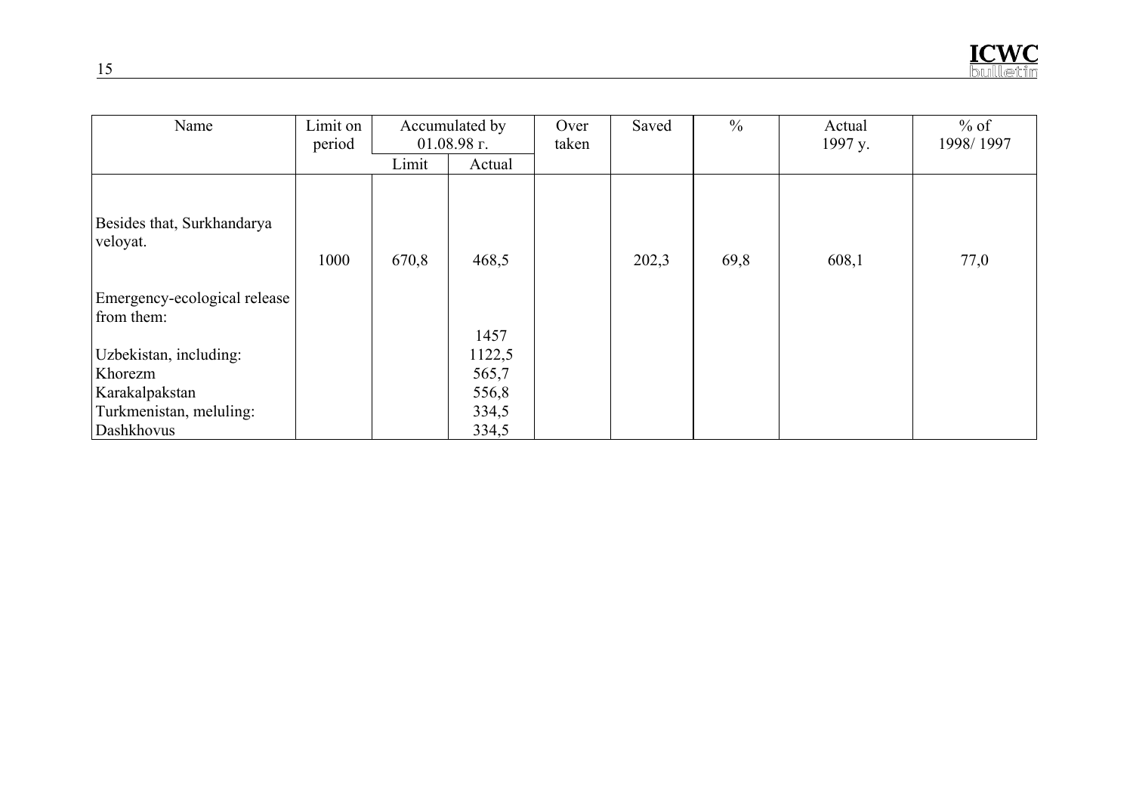| Name                                                                                         | Limit on<br>period | Accumulated by<br>$01.08.98$ r. |                                                    | Over<br>taken | Saved | $\frac{0}{0}$ | Actual<br>1997 y. | $%$ of<br>1998/1997 |
|----------------------------------------------------------------------------------------------|--------------------|---------------------------------|----------------------------------------------------|---------------|-------|---------------|-------------------|---------------------|
|                                                                                              |                    | Limit                           | Actual                                             |               |       |               |                   |                     |
| Besides that, Surkhandarya<br>veloyat.                                                       | 1000               | 670,8                           | 468,5                                              |               | 202,3 | 69,8          | 608,1             | 77,0                |
| Emergency-ecological release<br>from them:                                                   |                    |                                 |                                                    |               |       |               |                   |                     |
| Uzbekistan, including:<br>Khorezm<br>Karakalpakstan<br>Turkmenistan, meluling:<br>Dashkhovus |                    |                                 | 1457<br>1122,5<br>565,7<br>556,8<br>334,5<br>334,5 |               |       |               |                   |                     |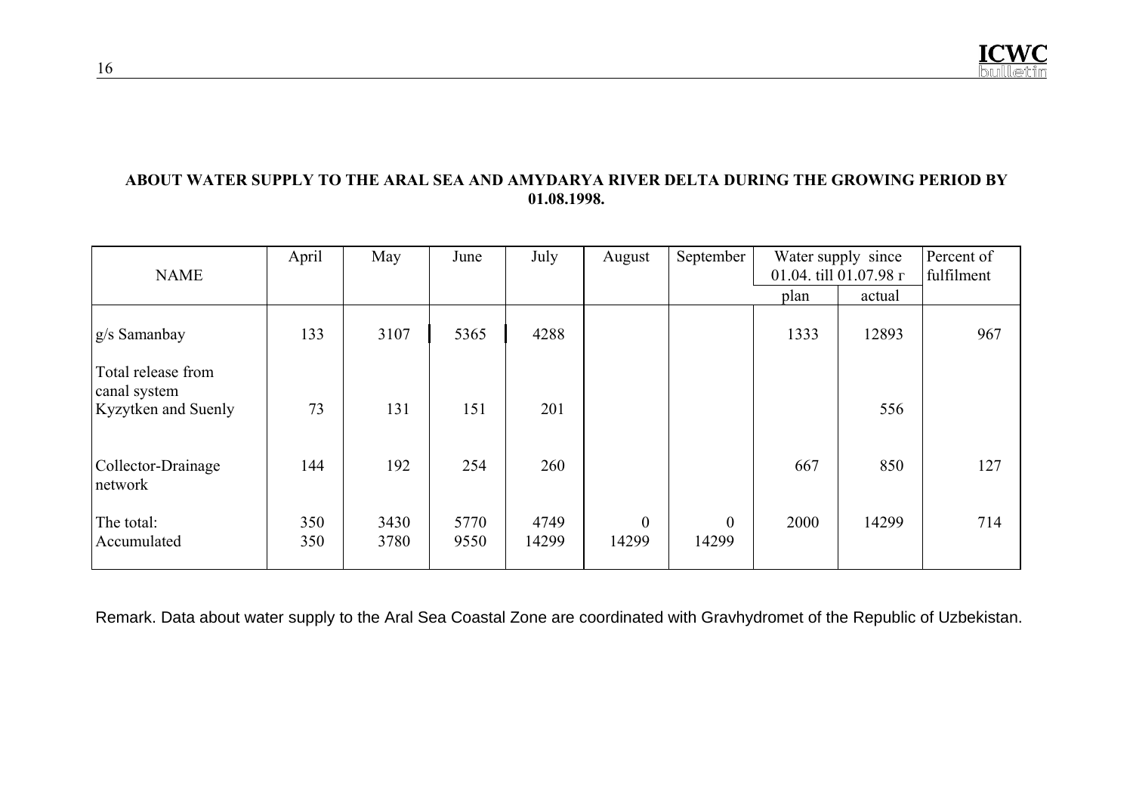#### **ABOUT WATER SUPPLY TO THE ARAL SEA AND AMYDARYA RIVER DELTA DURING THE GROWING PERIOD BY 01.08.1998.**

| <b>NAME</b>                                                      | April      | May          | June         | July          | August                  | September         |      | Water supply since<br>01.04. till 01.07.98 г |     |
|------------------------------------------------------------------|------------|--------------|--------------|---------------|-------------------------|-------------------|------|----------------------------------------------|-----|
|                                                                  |            |              |              |               |                         |                   | plan | actual                                       |     |
| g/s Samanbay                                                     | 133        | 3107         | 5365         | 4288          |                         |                   | 1333 | 12893                                        | 967 |
| Total release from<br>canal system<br><b>Kyzytken</b> and Suenly | 73         | 131          | 151          | 201           |                         |                   |      | 556                                          |     |
| Collector-Drainage<br>network                                    | 144        | 192          | 254          | 260           |                         |                   | 667  | 850                                          | 127 |
| The total:<br>Accumulated                                        | 350<br>350 | 3430<br>3780 | 5770<br>9550 | 4749<br>14299 | $\overline{0}$<br>14299 | $\theta$<br>14299 | 2000 | 14299                                        | 714 |

Remark. Data about water supply to the Aral Sea Coastal Zone are coordinated with Gravhydromet of the Republic of Uzbekistan.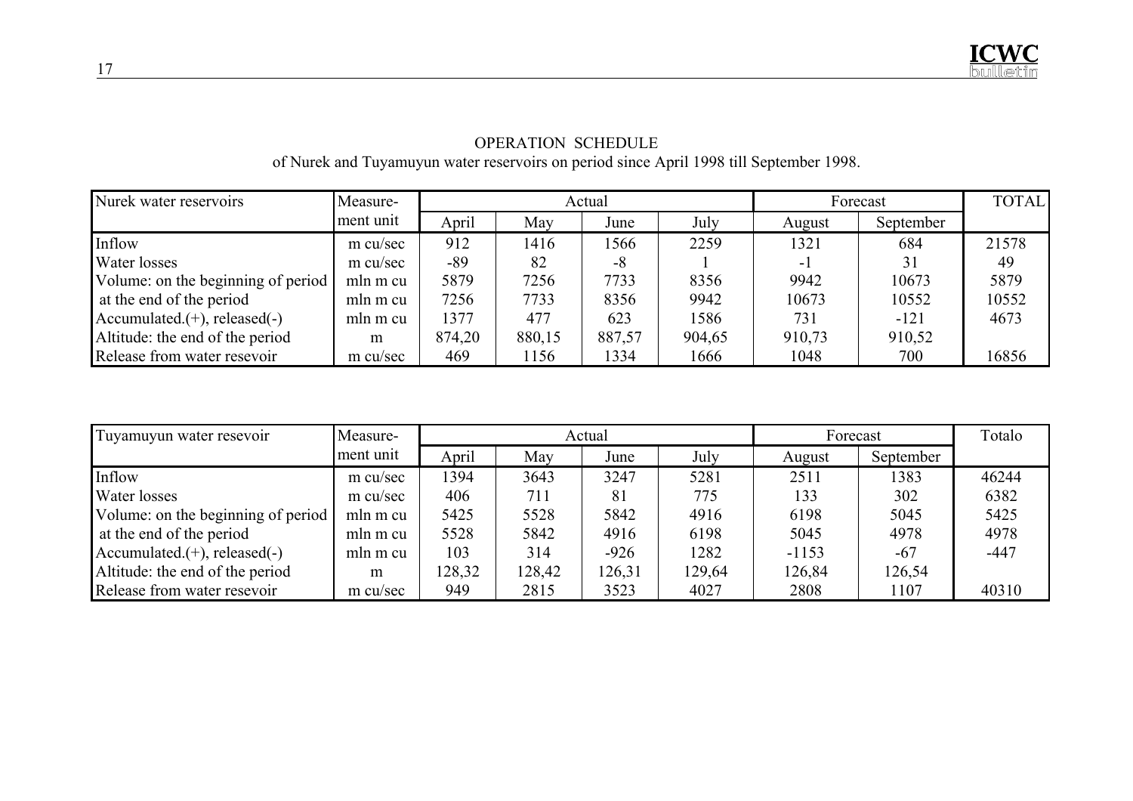| Nurek water reservoirs             | Measure-  | Actual |        |        |        | Forecast | <b>TOTAL</b> |       |
|------------------------------------|-----------|--------|--------|--------|--------|----------|--------------|-------|
|                                    | ment unit | April  | May    | June   | July   | August   | September    |       |
| Inflow                             | m cu/sec  | 912    | 1416   | 1566   | 2259   | 1321     | 684          | 21578 |
| Water losses                       | m cu/sec  | -89    | 82     | -8     |        | - 1      | 31           | 49    |
| Volume: on the beginning of period | mln m cu  | 5879   | 7256   | 7733   | 8356   | 9942     | 10673        | 5879  |
| at the end of the period           | mln m cu  | 7256   | 7733   | 8356   | 9942   | 10673    | 10552        | 10552 |
| $Accumulated. (+), released(-)$    | mln m cu  | 1377   | 477    | 623    | 1586   | 731      | $-121$       | 4673  |
| Altitude: the end of the period    | m         | 874,20 | 880,15 | 887,57 | 904,65 | 910,73   | 910,52       |       |
| Release from water resevoir        | m cu/sec  | 469    | 1156   | 1334   | 1666   | 1048     | 700          | 16856 |

# OPERATION SCHEDULE of Nurek and Tuyamuyun water reservoirs on period since April 1998 till September 1998.

| Tuyamuyun water resevoir            | Measure-  |        |        | Actual | Forecast | Totalo  |           |        |
|-------------------------------------|-----------|--------|--------|--------|----------|---------|-----------|--------|
|                                     | ment unit | April  | May    | June   | July     | August  | September |        |
| Inflow                              | m cu/sec  | 1394   | 3643   | 3247   | 5281     | 2511    | 1383      | 46244  |
| Water losses                        | m cu/sec  | 406    | 711    | 81     | 775      | 133     | 302       | 6382   |
| Volume: on the beginning of period  | mln m cu  | 5425   | 5528   | 5842   | 4916     | 6198    | 5045      | 5425   |
| at the end of the period            | mln m cu  | 5528   | 5842   | 4916   | 6198     | 5045    | 4978      | 4978   |
| Accumulated. $(+)$ , released $(-)$ | mln m cu  | 103    | 314    | $-926$ | 1282     | $-1153$ | $-67$     | $-447$ |
| Altitude: the end of the period     | m         | 128,32 | 128,42 | 126,31 | 129,64   | 126,84  | 126,54    |        |
| Release from water resevoir         | m cu/sec  | 949    | 2815   | 3523   | 4027     | 2808    | 1107      | 40310  |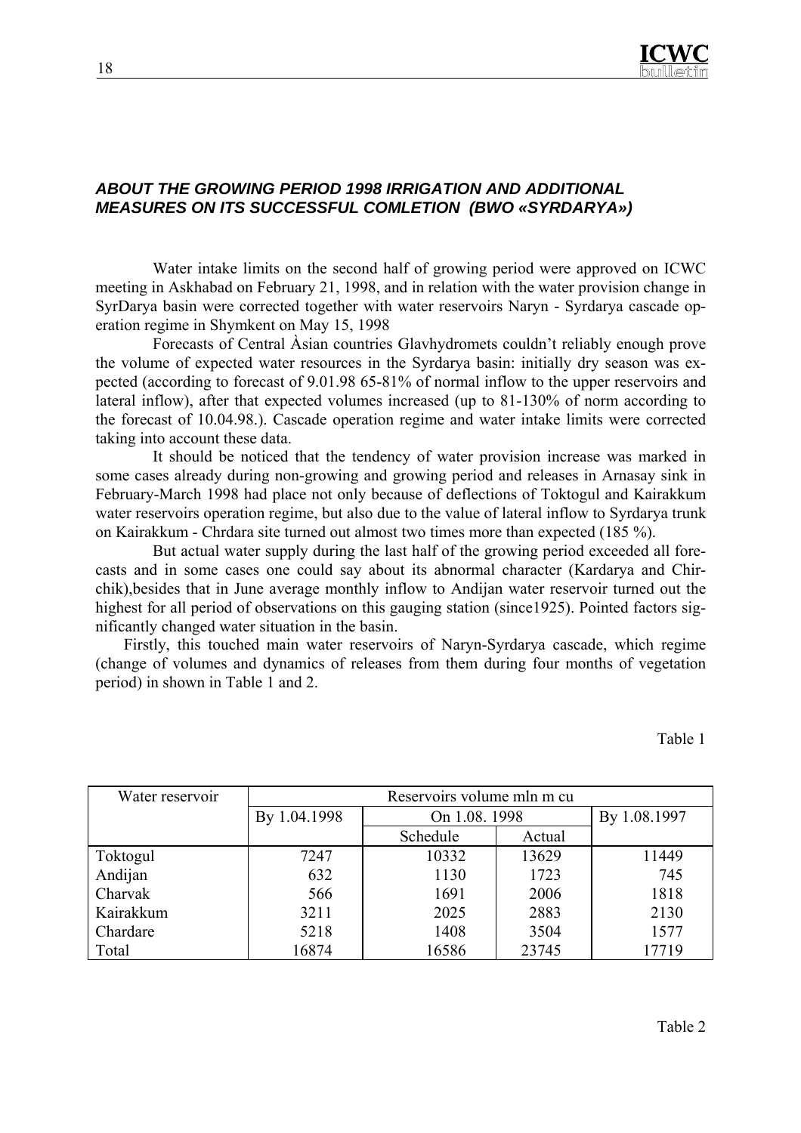

#### *ABOUT THE GROWING PERIOD 1998 IRRIGATION AND ADDITIONAL MEASURES ON ITS SUCCESSFUL COMLETION (BWO «SYRDARYA»)*

Water intake limits on the second half of growing period were approved on ICWC meeting in Askhabad on February 21, 1998, and in relation with the water provision change in SyrDarya basin were corrected together with water reservoirs Naryn - Syrdarya cascade operation regime in Shymkent on May 15, 1998

Forecasts of Central Àsian countries Glavhydromets couldn't reliably enough prove the volume of expected water resources in the Syrdarya basin: initially dry season was expected (according to forecast of 9.01.98 65-81% of normal inflow to the upper reservoirs and lateral inflow), after that expected volumes increased (up to 81-130% of norm according to the forecast of 10.04.98.). Cascade operation regime and water intake limits were corrected taking into account these data.

It should be noticed that the tendency of water provision increase was marked in some cases already during non-growing and growing period and releases in Arnasay sink in February-March 1998 had place not only because of deflections of Toktogul and Kairakkum water reservoirs operation regime, but also due to the value of lateral inflow to Syrdarya trunk on Kairakkum - Chrdara site turned out almost two times more than expected (185 %).

But actual water supply during the last half of the growing period exceeded all forecasts and in some cases one could say about its abnormal character (Kardarya and Chirchik),besides that in June average monthly inflow to Andijan water reservoir turned out the highest for all period of observations on this gauging station (since1925). Pointed factors significantly changed water situation in the basin.

Firstly, this touched main water reservoirs of Naryn-Syrdarya cascade, which regime (change of volumes and dynamics of releases from them during four months of vegetation period) in shown in Table 1 and 2.

Table 1

| Water reservoir | Reservoirs volume mln m cu |               |        |              |  |  |  |  |
|-----------------|----------------------------|---------------|--------|--------------|--|--|--|--|
|                 | By 1.04.1998               | On 1.08. 1998 |        | By 1.08.1997 |  |  |  |  |
|                 |                            | Schedule      | Actual |              |  |  |  |  |
| Toktogul        | 7247                       | 10332         | 13629  | 11449        |  |  |  |  |
| Andijan         | 632                        | 1130          | 1723   | 745          |  |  |  |  |
| Charvak         | 566                        | 1691          | 2006   | 1818         |  |  |  |  |
| Kairakkum       | 3211                       | 2025          | 2883   | 2130         |  |  |  |  |
| Chardare        | 5218                       | 1408          | 3504   | 1577         |  |  |  |  |
| Total           | 16874                      | 16586         | 23745  | 17719        |  |  |  |  |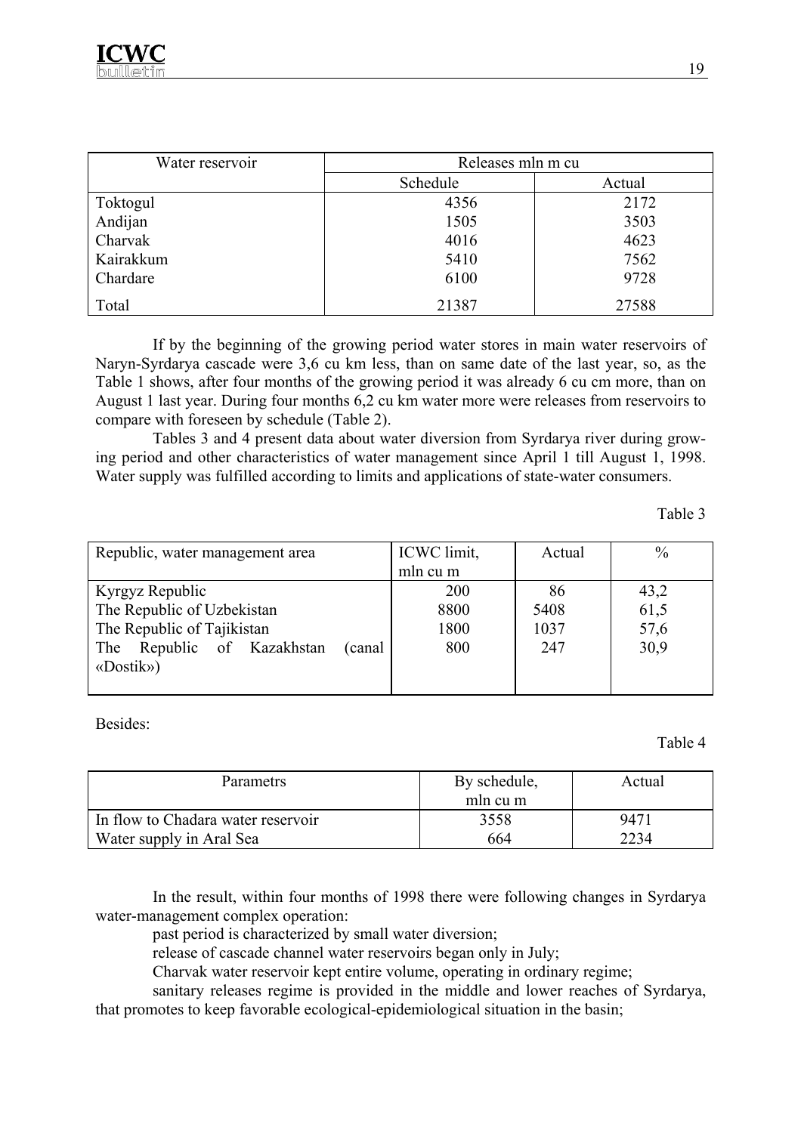

| Water reservoir | Releases mln m cu |        |  |  |  |
|-----------------|-------------------|--------|--|--|--|
|                 | Schedule          | Actual |  |  |  |
| Toktogul        | 4356              | 2172   |  |  |  |
| Andijan         | 1505              | 3503   |  |  |  |
| Charvak         | 4016              | 4623   |  |  |  |
| Kairakkum       | 5410              | 7562   |  |  |  |
| Chardare        | 6100              | 9728   |  |  |  |
| Total           | 21387             | 27588  |  |  |  |

If by the beginning of the growing period water stores in main water reservoirs of Naryn-Syrdarya cascade were 3,6 cu km less, than on same date of the last year, so, as the Table 1 shows, after four months of the growing period it was already 6 cu cm more, than on August 1 last year. During four months 6,2 cu km water more were releases from reservoirs to compare with foreseen by schedule (Table 2).

Tables 3 and 4 present data about water diversion from Syrdarya river during growing period and other characteristics of water management since April 1 till August 1, 1998. Water supply was fulfilled according to limits and applications of state-water consumers.

Table 3

| Republic, water management area          | ICWC limit,<br>Actual |      | $\frac{0}{0}$ |
|------------------------------------------|-----------------------|------|---------------|
|                                          | mln cu m              |      |               |
| Kyrgyz Republic                          | 200                   | 86   | 43,2          |
| The Republic of Uzbekistan               | 8800                  | 5408 | 61,5          |
| The Republic of Tajikistan               | 1800                  | 1037 | 57,6          |
| Republic of Kazakhstan<br>(canal)<br>The | 800                   | 247  | 30,9          |
| «Dostik»)                                |                       |      |               |
|                                          |                       |      |               |

Besides:

Table 4

| <b>Parametrs</b>                   | By schedule, | Actual |  |
|------------------------------------|--------------|--------|--|
|                                    | mln cu m     |        |  |
| In flow to Chadara water reservoir | 3558         | 9471   |  |
| Water supply in Aral Sea           | 664          | 2234   |  |

In the result, within four months of 1998 there were following changes in Syrdarya water-management complex operation:

past period is characterized by small water diversion;

release of cascade channel water reservoirs began only in July;

Charvak water reservoir kept entire volume, operating in ordinary regime;

sanitary releases regime is provided in the middle and lower reaches of Syrdarya, that promotes to keep favorable ecological-epidemiological situation in the basin;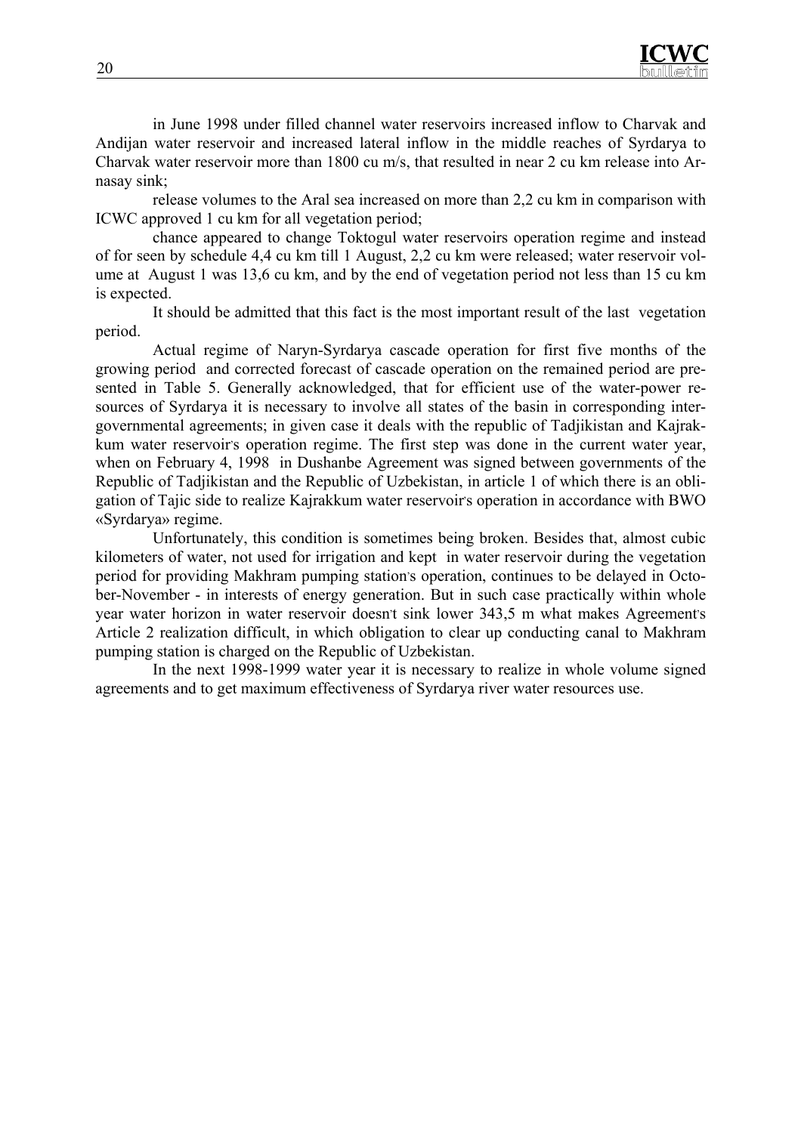

in June 1998 under filled channel water reservoirs increased inflow to Charvak and Andijan water reservoir and increased lateral inflow in the middle reaches of Syrdarya to Charvak water reservoir more than 1800 cu m/s, that resulted in near 2 cu km release into Arnasay sink;

release volumes to the Aral sea increased on more than 2,2 cu km in comparison with ICWC approved 1 cu km for all vegetation period;

chance appeared to change Toktogul water reservoirs operation regime and instead of for seen by schedule 4,4 cu km till 1 August, 2,2 cu km were released; water reservoir volume at August 1 was 13,6 cu km, and by the end of vegetation period not less than 15 cu km is expected.

It should be admitted that this fact is the most important result of the last vegetation period.

Actual regime of Naryn-Syrdarya cascade operation for first five months of the growing period and corrected forecast of cascade operation on the remained period are presented in Table 5. Generally acknowledged, that for efficient use of the water-power resources of Syrdarya it is necessary to involve all states of the basin in corresponding intergovernmental agreements; in given case it deals with the republic of Tadjikistan and Kajrakkum water reservoir's operation regime. The first step was done in the current water year, when on February 4, 1998 in Dushanbe Agreement was signed between governments of the Republic of Tadjikistan and the Republic of Uzbekistan, in article 1 of which there is an obligation of Tajic side to realize Kajrakkum water reservoir's operation in accordance with BWO «Syrdarya» regime.

Unfortunately, this condition is sometimes being broken. Besides that, almost cubic kilometers of water, not used for irrigation and kept in water reservoir during the vegetation period for providing Makhram pumping station's operation, continues to be delayed in October-November - in interests of energy generation. But in such case practically within whole year water horizon in water reservoir doesn't sink lower 343,5 m what makes Agreement's Article 2 realization difficult, in which obligation to clear up conducting canal to Makhram pumping station is charged on the Republic of Uzbekistan.

In the next 1998-1999 water year it is necessary to realize in whole volume signed agreements and to get maximum effectiveness of Syrdarya river water resources use.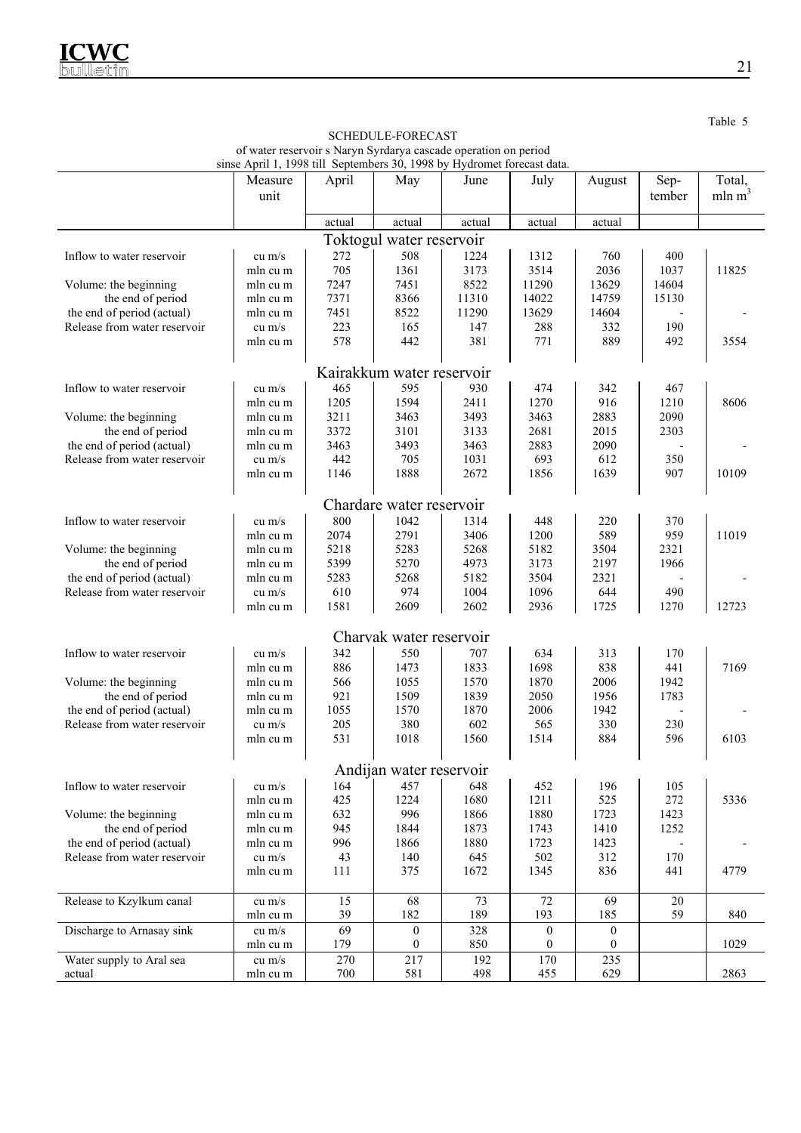|                              | Measure  | April                  | May                       | June         | July                                 | August                       | Sep-       | Total,             |
|------------------------------|----------|------------------------|---------------------------|--------------|--------------------------------------|------------------------------|------------|--------------------|
|                              | unit     |                        |                           |              |                                      |                              | tember     | mln m <sup>3</sup> |
|                              |          | actual                 | actual                    | actual       | actual                               | actual                       |            |                    |
| Toktogul water reservoir     |          |                        |                           |              |                                      |                              |            |                    |
| Inflow to water reservoir    | cu $m/s$ | 272                    | 508                       | 1224         | 1312                                 | 760                          | 400        |                    |
|                              | mln cu m | 705                    | 1361                      | 3173         | 3514                                 | 2036                         | 1037       | 11825              |
| Volume: the beginning        | mln cu m | 7247                   | 7451                      | 8522         | 11290                                | 13629                        | 14604      |                    |
| the end of period            | mln cu m | 7371                   | 8366                      | 11310        | 14022                                | 14759                        | 15130      |                    |
| the end of period (actual)   | mln cu m | 7451                   | 8522                      | 11290        | 13629                                | 14604                        |            |                    |
| Release from water reservoir | $cu$ m/s | 223                    | 165                       | 147          | 288                                  | 332                          | 190        |                    |
|                              | mln cu m | 578                    | 442                       | 381          | 771                                  | 889                          | 492        | 3554               |
|                              |          |                        | Kairakkum water reservoir |              |                                      |                              |            |                    |
| Inflow to water reservoir    | cu $m/s$ | 465                    | 595                       | 930          | 474                                  | 342                          | 467        |                    |
|                              | mln cu m | 1205                   | 1594                      | 2411         | 1270                                 | 916                          | 1210       | 8606               |
| Volume: the beginning        | mln cu m | 3211                   | 3463                      | 3493         | 3463                                 | 2883                         | 2090       |                    |
| the end of period            | mln cu m | 3372                   | 3101                      | 3133         | 2681                                 | 2015                         | 2303       |                    |
| the end of period (actual)   | mln cu m | 3463                   | 3493                      | 3463         | 2883                                 | 2090                         |            |                    |
| Release from water reservoir | $cu$ m/s | 442                    | 705                       | 1031         | 693                                  | 612                          | 350        |                    |
|                              | mln cu m | 1146                   | 1888                      | 2672         | 1856                                 | 1639                         | 907        | 10109              |
|                              |          |                        |                           |              |                                      |                              |            |                    |
|                              |          |                        | Chardare water reservoir  |              |                                      |                              |            |                    |
| Inflow to water reservoir    | $cu$ m/s | 800                    | 1042                      | 1314         | 448                                  | 220                          | 370        |                    |
|                              | mln cu m | 2074                   | 2791                      | 3406         | 1200                                 | 589                          | 959        | 11019              |
| Volume: the beginning        | mln cu m | 5218                   | 5283                      | 5268         | 5182                                 | 3504                         | 2321       |                    |
| the end of period            | mln cu m | 5399                   | 5270                      | 4973         | 3173                                 | 2197                         | 1966       |                    |
| the end of period (actual)   | mln cu m | 5283                   | 5268                      | 5182         | 3504                                 | 2321                         |            |                    |
| Release from water reservoir | cu $m/s$ | 610                    | 974                       | 1004         | 1096                                 | 644                          | 490        |                    |
|                              | mln cu m | 1581                   | 2609                      | 2602         | 2936                                 | 1725                         | 1270       | 12723              |
|                              |          |                        | Charvak water reservoir   |              |                                      |                              |            |                    |
|                              |          |                        |                           |              |                                      |                              |            |                    |
| Inflow to water reservoir    | cu $m/s$ | 342                    | 550                       | 707          | 634                                  | 313                          | 170        |                    |
|                              | mln cu m | 886                    | 1473                      | 1833         | 1698                                 | 838                          | 441        | 7169               |
| Volume: the beginning        | mln cu m | 566                    | 1055                      | 1570         | 1870                                 | 2006                         | 1942       |                    |
| the end of period            | mln cu m | 921<br>1055            | 1509<br>1570              | 1839<br>1870 | 2050<br>2006                         | 1956<br>1942                 | 1783       |                    |
| the end of period (actual)   | mln cu m |                        |                           |              |                                      |                              |            |                    |
| Release from water reservoir | $cu$ m/s | 205<br>531             | 380<br>1018               | 602<br>1560  | 565<br>1514                          | 330<br>884                   | 230<br>596 | 6103               |
|                              | mln cu m |                        |                           |              |                                      |                              |            |                    |
|                              |          |                        | Andijan water reservoir   |              |                                      |                              |            |                    |
| Inflow to water reservoir    | cu m/s   | 164                    | 457                       | 648          | 452                                  | 196                          | 105        |                    |
|                              | mln cu m | 425                    | 1224                      | 1680         | 1211                                 | 525                          | 272        | 5336               |
| Volume: the beginning        | mln cu m | 632                    | 996                       | 1866         | 1880                                 | 1723                         | 1423       |                    |
| the end of period            | mln cu m | 945                    | 1844                      | 1873         | 1743                                 | 1410                         | 1252       |                    |
| the end of period (actual)   | mln cu m | 996                    | 1866                      | 1880         | 1723                                 | 1423                         |            |                    |
| Release from water reservoir | cu $m/s$ | 43                     | 140                       | 645          | 502                                  | 312                          | 170        |                    |
|                              | mln cu m | 111                    | 375                       | 1672         | 1345                                 | 836                          | 441        | 4779               |
|                              |          |                        |                           |              |                                      |                              |            |                    |
| Release to Kzylkum canal     | cu m/s   | 15                     | 68                        | 73           | 72                                   | 69                           | $20\,$     |                    |
|                              | mln cu m | 39                     | 182                       | 189          | 193                                  | 185                          | 59         | 840                |
| Discharge to Arnasay sink    | cu $m/s$ | $\overline{69}$<br>179 | $\boldsymbol{0}$<br>0     | 328<br>850   | $\boldsymbol{0}$<br>$\boldsymbol{0}$ | $\mathbf{0}$<br>$\mathbf{0}$ |            | 1029               |
|                              | mln cu m |                        |                           |              |                                      |                              |            |                    |
| Water supply to Aral sea     | cu $m/s$ | 270                    | 217                       | 192          | 170                                  | 235                          |            |                    |
| actual                       | mln cu m | 700                    | 581                       | 498          | 455                                  | 629                          |            | 2863               |

SCHEDULE-FORECAST of water reservoir s Naryn Syrdarya cascade operation on period sinse April 1, 1998 till Septembers 30, 1998 by Hydromet forecast data. Table 5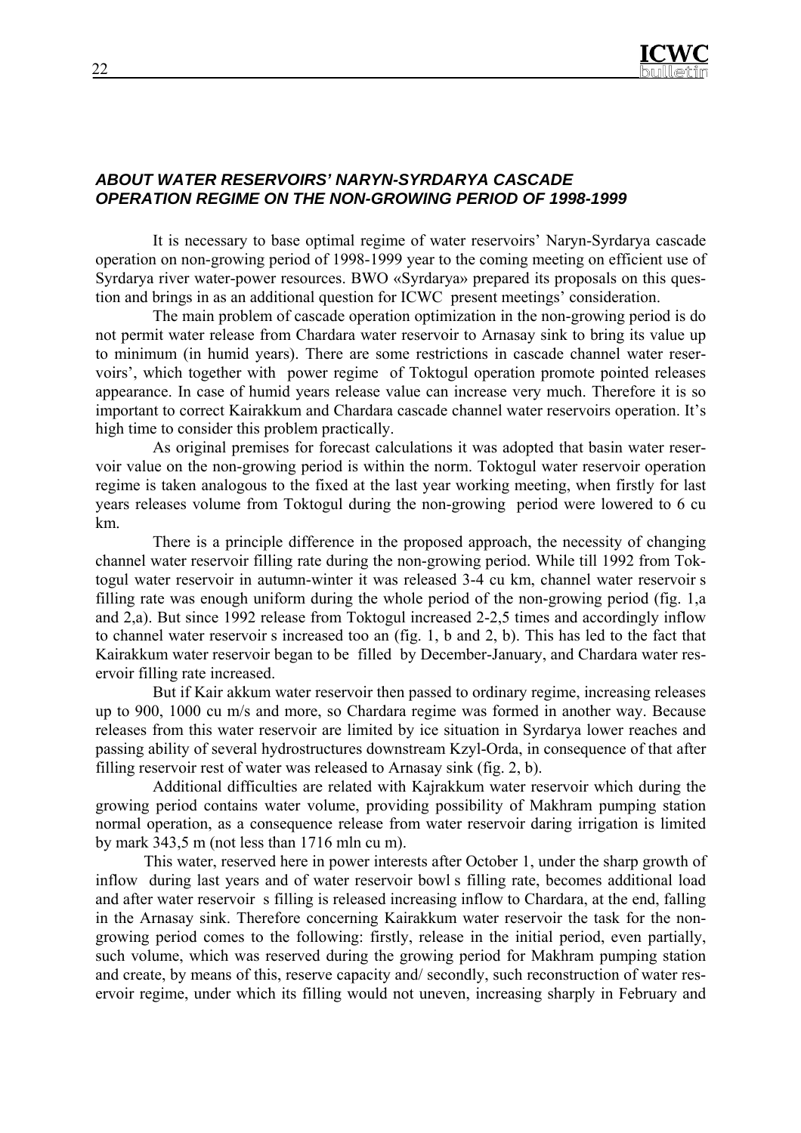### *ABOUT WATER RESERVOIRS' NARYN-SYRDARYA CASCADE OPERATION REGIME ON THE NON-GROWING PERIOD OF 1998-1999*

It is necessary to base optimal regime of water reservoirs' Naryn-Syrdarya cascade operation on non-growing period of 1998-1999 year to the coming meeting on efficient use of Syrdarya river water-power resources. BWO «Syrdarya» prepared its proposals on this question and brings in as an additional question for ICWC present meetings' consideration.

The main problem of cascade operation optimization in the non-growing period is do not permit water release from Chardara water reservoir to Arnasay sink to bring its value up to minimum (in humid years). There are some restrictions in cascade channel water reservoirs', which together with power regime of Toktogul operation promote pointed releases appearance. In case of humid years release value can increase very much. Therefore it is so important to correct Kairakkum and Chardara cascade channel water reservoirs operation. It's high time to consider this problem practically.

As original premises for forecast calculations it was adopted that basin water reservoir value on the non-growing period is within the norm. Toktogul water reservoir operation regime is taken analogous to the fixed at the last year working meeting, when firstly for last years releases volume from Toktogul during the non-growing period were lowered to 6 cu km.

There is a principle difference in the proposed approach, the necessity of changing channel water reservoir filling rate during the non-growing period. While till 1992 from Toktogul water reservoir in autumn-winter it was released 3-4 cu km, channel water reservoir s filling rate was enough uniform during the whole period of the non-growing period (fig. 1,a and 2,a). But since 1992 release from Toktogul increased 2-2,5 times and accordingly inflow to channel water reservoir s increased too an (fig. 1, b and 2, b). This has led to the fact that Kairakkum water reservoir began to be filled by December-January, and Chardara water reservoir filling rate increased.

But if Kair akkum water reservoir then passed to ordinary regime, increasing releases up to 900, 1000 cu m/s and more, so Chardara regime was formed in another way. Because releases from this water reservoir are limited by ice situation in Syrdarya lower reaches and passing ability of several hydrostructures downstream Kzyl-Orda, in consequence of that after filling reservoir rest of water was released to Arnasay sink (fig. 2, b).

Additional difficulties are related with Kajrakkum water reservoir which during the growing period contains water volume, providing possibility of Makhram pumping station normal operation, as a consequence release from water reservoir daring irrigation is limited by mark 343,5 m (not less than 1716 mln cu m).

This water, reserved here in power interests after October 1, under the sharp growth of inflow during last years and of water reservoir bowl s filling rate, becomes additional load and after water reservoir s filling is released increasing inflow to Chardara, at the end, falling in the Arnasay sink. Therefore concerning Kairakkum water reservoir the task for the nongrowing period comes to the following: firstly, release in the initial period, even partially, such volume, which was reserved during the growing period for Makhram pumping station and create, by means of this, reserve capacity and/ secondly, such reconstruction of water reservoir regime, under which its filling would not uneven, increasing sharply in February and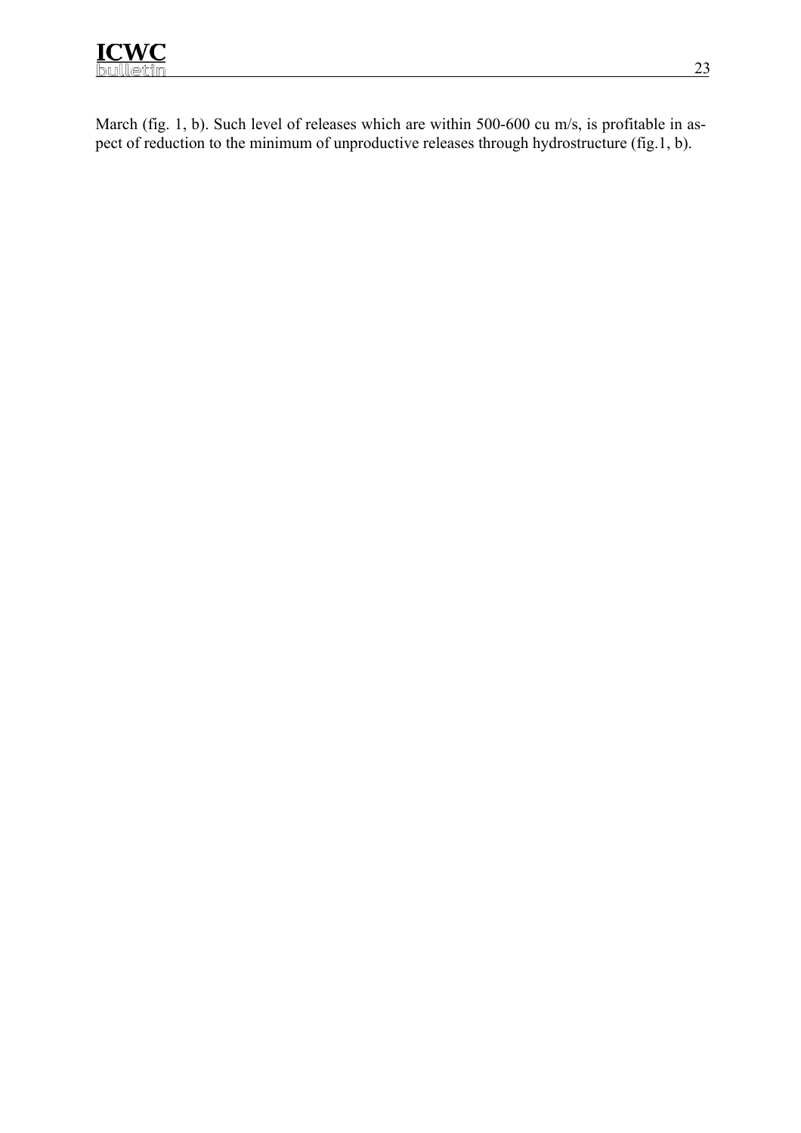

March (fig. 1, b). Such level of releases which are within 500-600 cu m/s, is profitable in aspect of reduction to the minimum of unproductive releases through hydrostructure (fig.1, b).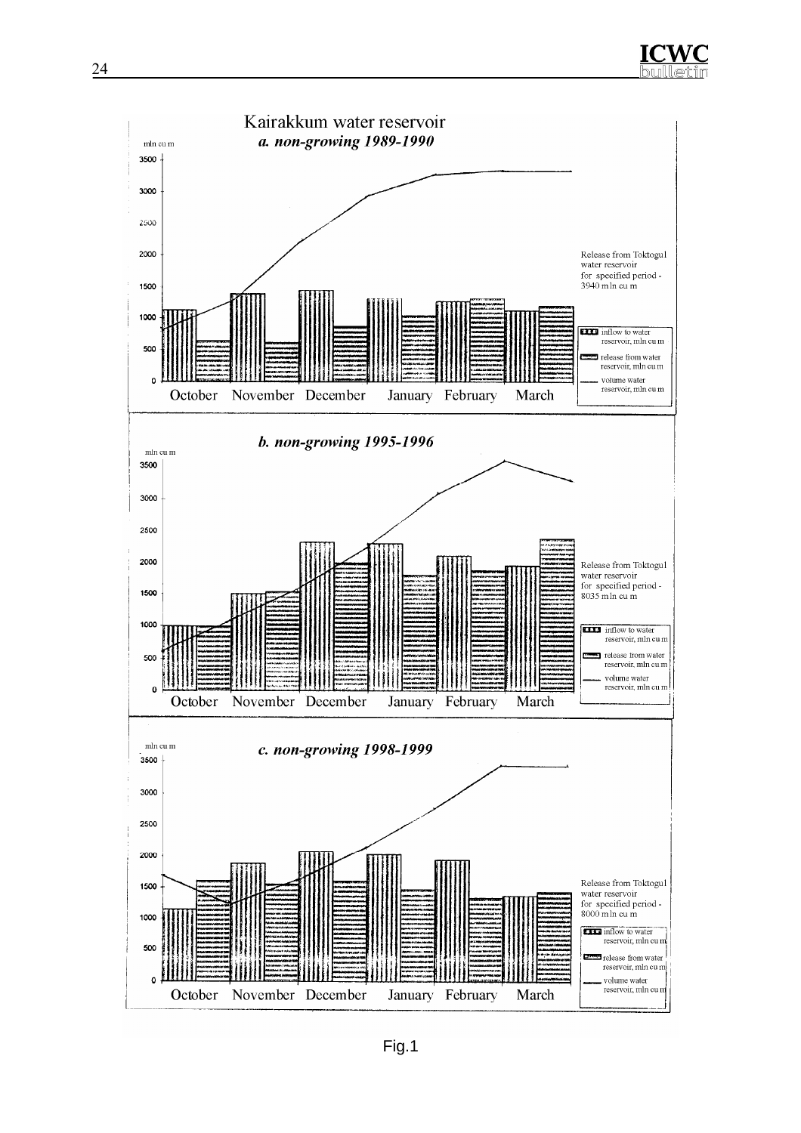



Fig.1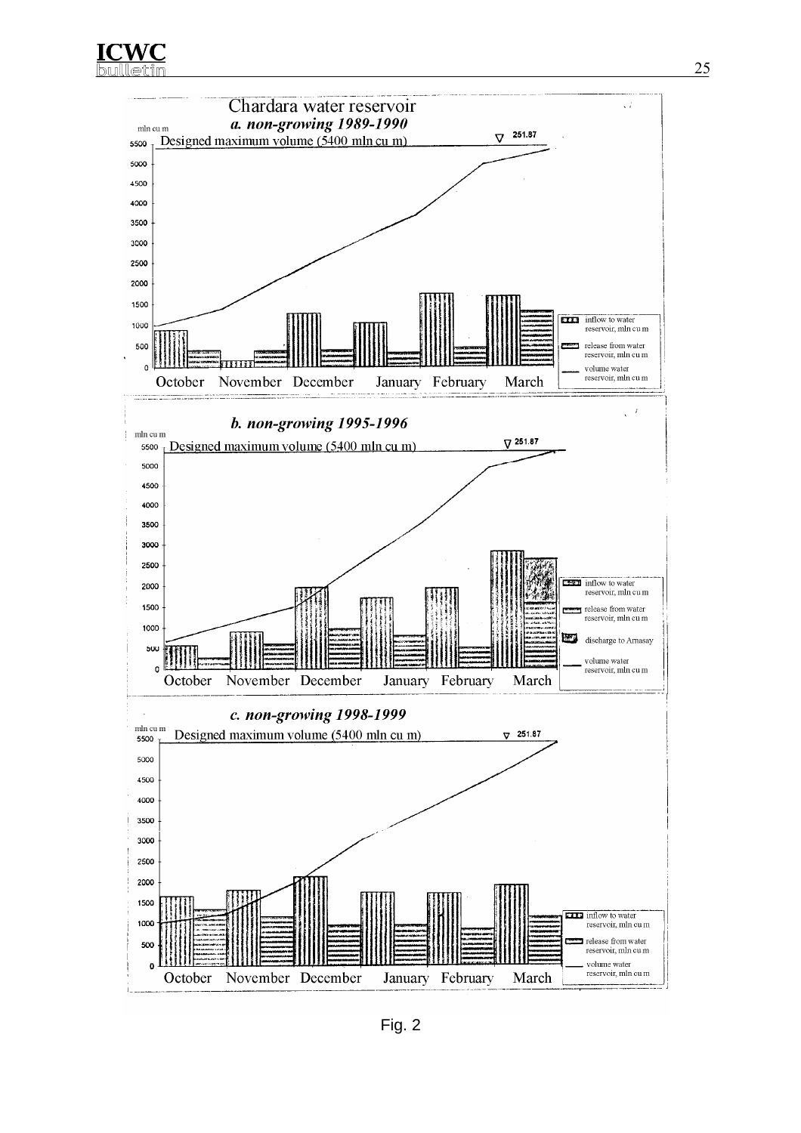**ICWC** 



Fig. 2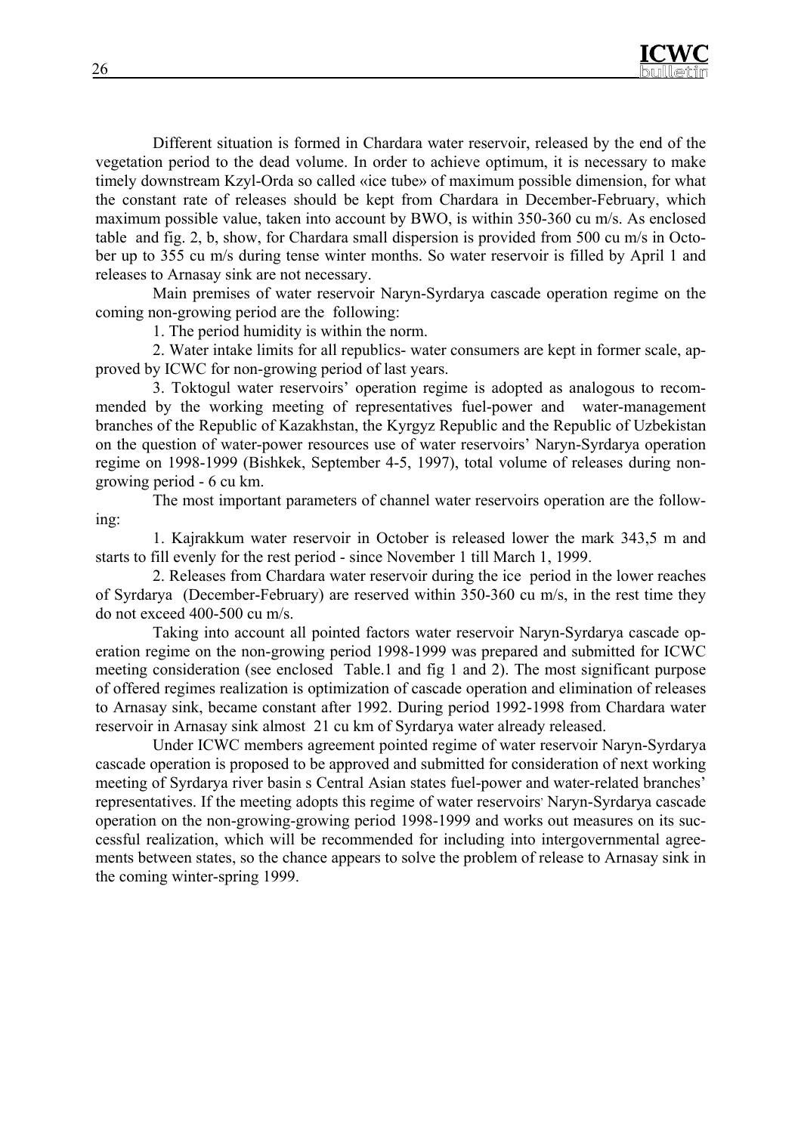

Different situation is formed in Chardara water reservoir, released by the end of the vegetation period to the dead volume. In order to achieve optimum, it is necessary to make timely downstream Kzyl-Orda so called «ice tube» of maximum possible dimension, for what the constant rate of releases should be kept from Chardara in December-February, which maximum possible value, taken into account by BWO, is within 350-360 cu m/s. As enclosed table and fig. 2, b, show, for Chardara small dispersion is provided from 500 cu m/s in October up to 355 cu m/s during tense winter months. So water reservoir is filled by April 1 and releases to Arnasay sink are not necessary.

Main premises of water reservoir Naryn-Syrdarya cascade operation regime on the coming non-growing period are the following:

1. The period humidity is within the norm.

2. Water intake limits for all republics- water consumers are kept in former scale, approved by ICWC for non-growing period of last years.

3. Toktogul water reservoirs' operation regime is adopted as analogous to recommended by the working meeting of representatives fuel-power and water-management branches of the Republic of Kazakhstan, the Kyrgyz Republic and the Republic of Uzbekistan on the question of water-power resources use of water reservoirs' Naryn-Syrdarya operation regime on 1998-1999 (Bishkek, September 4-5, 1997), total volume of releases during nongrowing period - 6 cu km.

The most important parameters of channel water reservoirs operation are the following:

1. Kajrakkum water reservoir in October is released lower the mark 343,5 m and starts to fill evenly for the rest period - since November 1 till March 1, 1999.

2. Releases from Chardara water reservoir during the ice period in the lower reaches of Syrdarya (December-February) are reserved within 350-360 cu m/s, in the rest time they do not exceed 400-500 cu m/s.

Taking into account all pointed factors water reservoir Naryn-Syrdarya cascade operation regime on the non-growing period 1998-1999 was prepared and submitted for ICWC meeting consideration (see enclosed Table.1 and fig 1 and 2). The most significant purpose of offered regimes realization is optimization of cascade operation and elimination of releases to Arnasay sink, became constant after 1992. During period 1992-1998 from Chardara water reservoir in Arnasay sink almost 21 cu km of Syrdarya water already released.

Under ICWC members agreement pointed regime of water reservoir Naryn-Syrdarya cascade operation is proposed to be approved and submitted for consideration of next working meeting of Syrdarya river basin s Central Asian states fuel-power and water-related branches' representatives. If the meeting adopts this regime of water reservoirs' Naryn-Syrdarya cascade operation on the non-growing-growing period 1998-1999 and works out measures on its successful realization, which will be recommended for including into intergovernmental agreements between states, so the chance appears to solve the problem of release to Arnasay sink in the coming winter-spring 1999.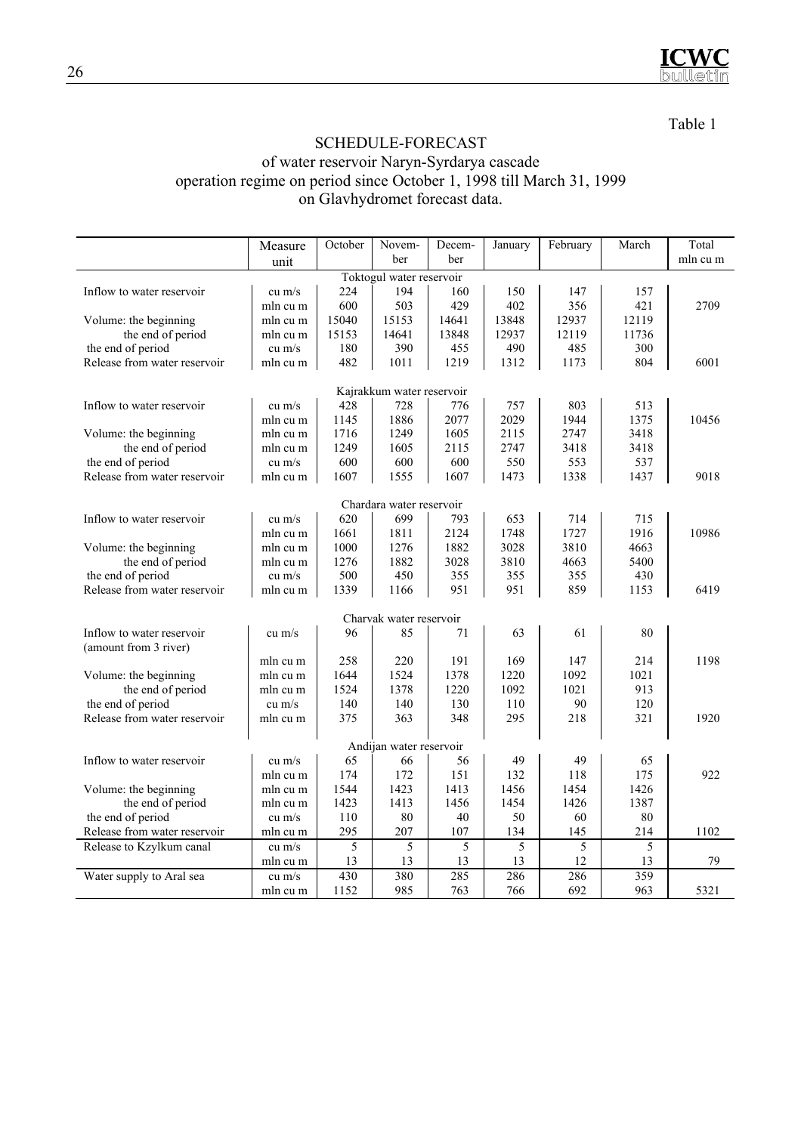

Table 1

## SCHEDULE-FORECAST

#### of water reservoir Naryn-Syrdarya cascade operation regime on period since October 1, 1998 till March 31, 1999 on Glavhydromet forecast data.

|                              | Measure  | October | Novem-                    | Decem- | January | February | March | Total    |
|------------------------------|----------|---------|---------------------------|--------|---------|----------|-------|----------|
|                              | unit     |         | ber                       | ber    |         |          |       | mln cu m |
| Toktogul water reservoir     |          |         |                           |        |         |          |       |          |
| Inflow to water reservoir    | $cu$ m/s | 224     | 194                       | 160    | 150     | 147      | 157   |          |
|                              | mln cu m | 600     | 503                       | 429    | 402     | 356      | 421   | 2709     |
| Volume: the beginning        | mln cu m | 15040   | 15153                     | 14641  | 13848   | 12937    | 12119 |          |
| the end of period            | mln cu m | 15153   | 14641                     | 13848  | 12937   | 12119    | 11736 |          |
| the end of period            | $cu$ m/s | 180     | 390                       | 455    | 490     | 485      | 300   |          |
| Release from water reservoir | mln cu m | 482     | 1011                      | 1219   | 1312    | 1173     | 804   | 6001     |
|                              |          |         |                           |        |         |          |       |          |
|                              |          |         | Kajrakkum water reservoir |        |         |          |       |          |
| Inflow to water reservoir    | $cu$ m/s | 428     | 728                       | 776    | 757     | 803      | 513   |          |
|                              | mln cu m | 1145    | 1886                      | 2077   | 2029    | 1944     | 1375  | 10456    |
| Volume: the beginning        | mln cu m | 1716    | 1249                      | 1605   | 2115    | 2747     | 3418  |          |
| the end of period            | mln cu m | 1249    | 1605                      | 2115   | 2747    | 3418     | 3418  |          |
| the end of period            | $cu$ m/s | 600     | 600                       | 600    | 550     | 553      | 537   |          |
| Release from water reservoir | mln cu m | 1607    | 1555                      | 1607   | 1473    | 1338     | 1437  | 9018     |
|                              |          |         | Chardara water reservoir  |        |         |          |       |          |
| Inflow to water reservoir    | cu $m/s$ | 620     | 699                       | 793    | 653     | 714      | 715   |          |
|                              | mln cu m | 1661    | 1811                      | 2124   | 1748    | 1727     | 1916  | 10986    |
| Volume: the beginning        | mln cu m | 1000    | 1276                      | 1882   | 3028    | 3810     | 4663  |          |
| the end of period            | mln cu m | 1276    | 1882                      | 3028   | 3810    | 4663     | 5400  |          |
| the end of period            | $cu$ m/s | 500     | 450                       | 355    | 355     | 355      | 430   |          |
| Release from water reservoir | mln cu m | 1339    | 1166                      | 951    | 951     | 859      | 1153  | 6419     |
|                              |          |         |                           |        |         |          |       |          |
|                              |          |         | Charvak water reservoir   |        |         |          |       |          |
| Inflow to water reservoir    | $cu$ m/s | 96      | 85                        | 71     | 63      | 61       | 80    |          |
| (amount from 3 river)        |          |         |                           |        |         |          |       |          |
|                              | mln cu m | 258     | 220                       | 191    | 169     | 147      | 214   | 1198     |
| Volume: the beginning        | mln cu m | 1644    | 1524                      | 1378   | 1220    | 1092     | 1021  |          |
| the end of period            | mln cu m | 1524    | 1378                      | 1220   | 1092    | 1021     | 913   |          |
| the end of period            | $cu$ m/s | 140     | 140                       | 130    | 110     | 90       | 120   |          |
| Release from water reservoir | mln cu m | 375     | 363                       | 348    | 295     | 218      | 321   | 1920     |
|                              |          |         |                           |        |         |          |       |          |
| Andijan water reservoir      |          |         |                           |        |         |          |       |          |
| Inflow to water reservoir    | $cu$ m/s | 65      | 66                        | 56     | 49      | 49       | 65    |          |
|                              | mln cu m | 174     | 172                       | 151    | 132     | 118      | 175   | 922      |
| Volume: the beginning        | mln cu m | 1544    | 1423                      | 1413   | 1456    | 1454     | 1426  |          |
| the end of period            | mln cu m | 1423    | 1413                      | 1456   | 1454    | 1426     | 1387  |          |
| the end of period            | $cu$ m/s | 110     | 80                        | 40     | 50      | 60       | 80    |          |
| Release from water reservoir | mln cu m | 295     | 207                       | 107    | 134     | 145      | 214   | 1102     |
| Release to Kzylkum canal     | $cu$ m/s | 5       | 5                         | 5      | 5       | 5        | 5     |          |
|                              | mln cu m | 13      | 13                        | 13     | 13      | 12       | 13    | 79       |
| Water supply to Aral sea     | $cu$ m/s | 430     | 380                       | 285    | 286     | 286      | 359   |          |
|                              | mln cu m | 1152    | 985                       | 763    | 766     | 692      | 963   | 5321     |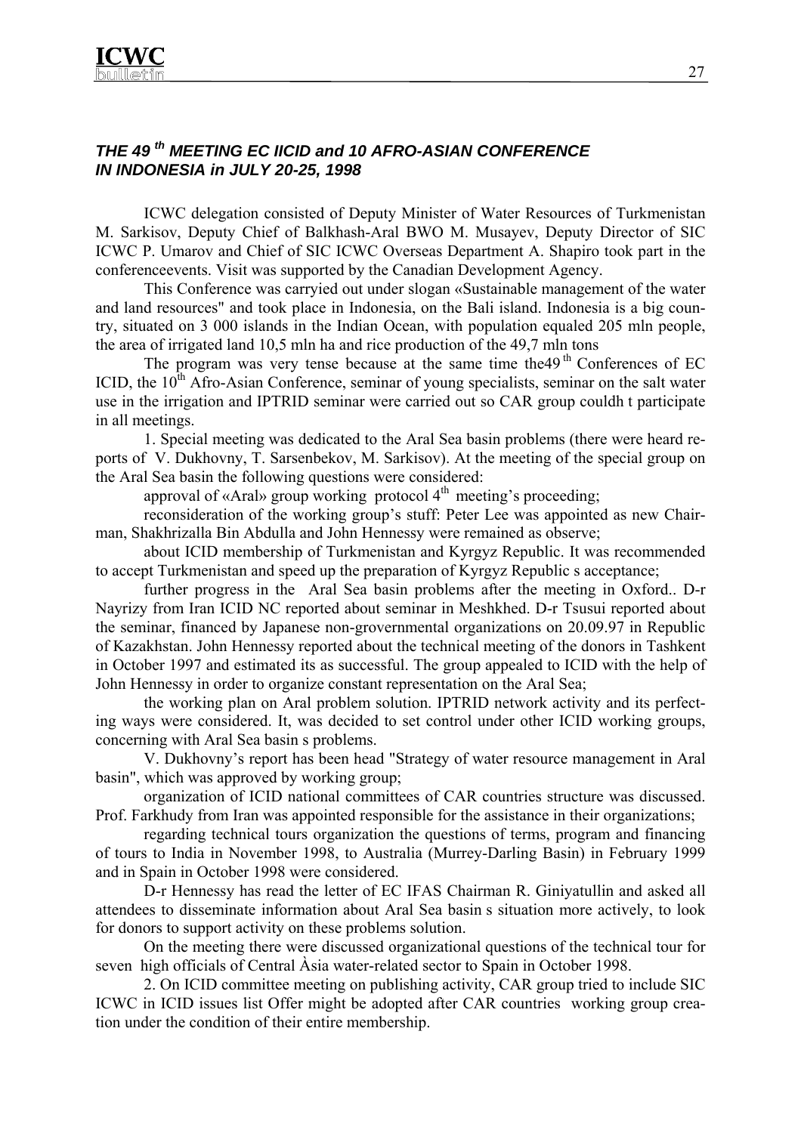### *THE 49 th MEETING EC IICID and 10 AFRO-ASIAN CONFERENCE IN INDONESIA in JULY 20-25, 1998*

ICWC delegation consisted of Deputy Minister of Water Resources of Turkmenistan M. Sarkisov, Deputy Chief of Balkhash-Aral BWO M. Musayev, Deputy Director of SIC ICWC P. Umarov and Chief of SIC ICWC Overseas Department A. Shapiro took part in the conferenceevents. Visit was supported by the Canadian Development Agency.

This Conference was carryied out under slogan «Sustainable management of the water and land resources" and took place in Indonesia, on the Bali island. Indonesia is a big country, situated on 3 000 islands in the Indian Ocean, with population equaled 205 mln people, the area of irrigated land 10,5 mln ha and rice production of the 49,7 mln tons

The program was very tense because at the same time the  $49<sup>th</sup>$  Conferences of EC ICID, the  $10<sup>th</sup>$  Afro-Asian Conference, seminar of young specialists, seminar on the salt water use in the irrigation and IPTRID seminar were carried out so CAR group couldh t participate in all meetings.

1. Special meeting was dedicated to the Aral Sea basin problems (there were heard reports of V. Dukhovny, T. Sarsenbekov, M. Sarkisov). At the meeting of the special group on the Aral Sea basin the following questions were considered:

approval of «Aral» group working protocol  $4<sup>th</sup>$  meeting's proceeding;

reconsideration of the working group's stuff: Peter Lee was appointed as new Chairman, Shakhrizalla Bin Abdulla and John Hennessy were remained as observe;

about ICID membership of Turkmenistan and Kyrgyz Republic. It was recommended to accept Turkmenistan and speed up the preparation of Kyrgyz Republic s acceptance;

further progress in the Aral Sea basin problems after the meeting in Oxford.. D-r Nayrizy from Iran ICID NC reported about seminar in Meshkhed. D-r Tsusui reported about the seminar, financed by Japanese non-grovernmental organizations on 20.09.97 in Republic of Kazakhstan. John Hennessy reported about the technical meeting of the donors in Tashkent in October 1997 and estimated its as successful. The group appealed to ICID with the help of John Hennessy in order to organize constant representation on the Aral Sea;

the working plan on Aral problem solution. IPTRID network activity and its perfecting ways were considered. It, was decided to set control under other ICID working groups, concerning with Aral Sea basin s problems.

V. Dukhovny's report has been head "Strategy of water resource management in Aral basin", which was approved by working group;

organization of ICID national committees of CAR countries structure was discussed. Prof. Farkhudy from Iran was appointed responsible for the assistance in their organizations;

regarding technical tours organization the questions of terms, program and financing of tours to India in November 1998, to Australia (Murrey-Darling Basin) in February 1999 and in Spain in October 1998 were considered.

D-r Hennessy has read the letter of EC IFAS Chairman R. Giniyatullin and asked all attendees to disseminate information about Aral Sea basin s situation more actively, to look for donors to support activity on these problems solution.

On the meeting there were discussed organizational questions of the technical tour for seven high officials of Central Àsia water-related sector to Spain in October 1998.

2. On ICID committee meeting on publishing activity, CAR group tried to include SIC ICWC in ICID issues list Offer might be adopted after CAR countries working group creation under the condition of their entire membership.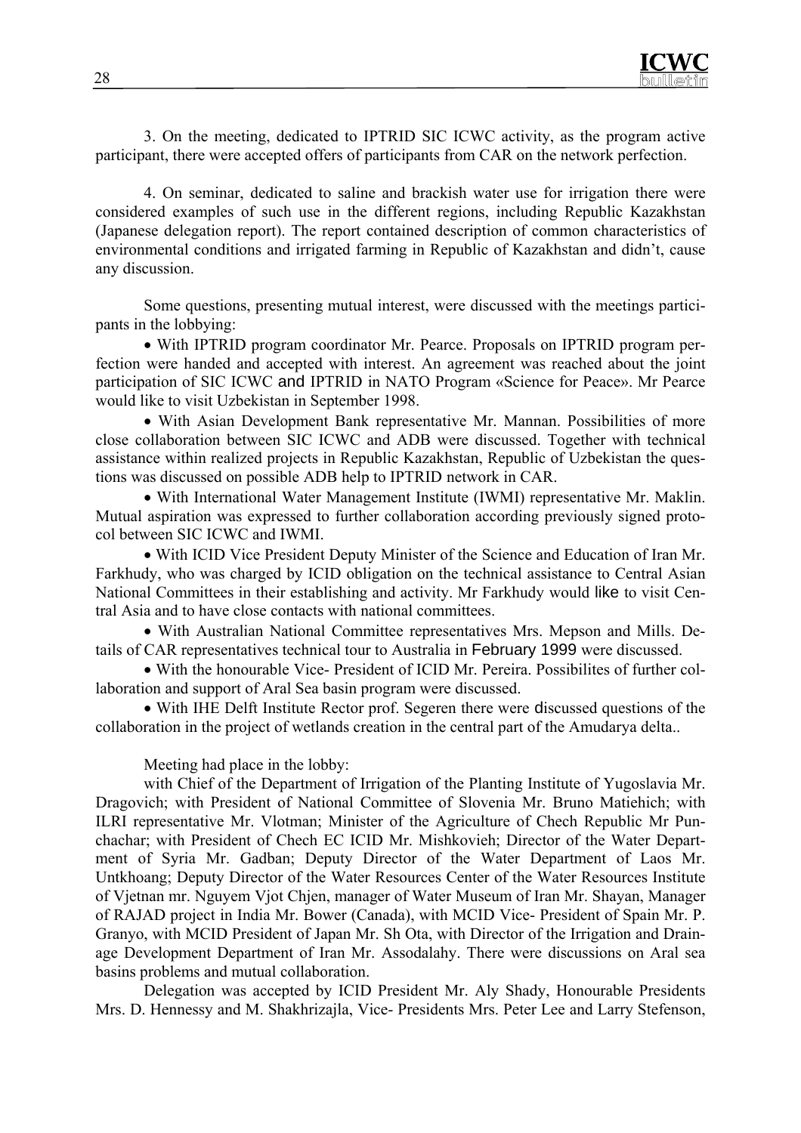3. On the meeting, dedicated to IPTRID SIC ICWC activity, as the program active participant, there were accepted offers of participants from CAR on the network perfection.

4. On seminar, dedicated to saline and brackish water use for irrigation there were considered examples of such use in the different regions, including Republic Kazakhstan (Japanese delegation report). The report contained description of common characteristics of environmental conditions and irrigated farming in Republic of Kazakhstan and didn't, cause any discussion.

Some questions, presenting mutual interest, were discussed with the meetings participants in the lobbying:

• With IPTRID program coordinator Mr. Pearce. Proposals on IPTRID program perfection were handed and accepted with interest. An agreement was reached about the joint participation of SIC ICWC and IPTRID in NATO Program «Science for Peace». Mr Pearce would like to visit Uzbekistan in September 1998.

• With Asian Development Bank representative Mr. Mannan. Possibilities of more close collaboration between SIC ICWC and ADB were discussed. Together with technical assistance within realized projects in Republic Kazakhstan, Republic of Uzbekistan the questions was discussed on possible ADB help to IPTRID network in CAR.

• With International Water Management Institute (IWMI) representative Mr. Maklin. Mutual aspiration was expressed to further collaboration according previously signed protocol between SIC ICWC and IWMI.

• With ICID Vice President Deputy Minister of the Science and Education of Iran Mr. Farkhudy, who was charged by ICID obligation on the technical assistance to Central Asian National Committees in their establishing and activity. Mr Farkhudy would like to visit Central Asia and to have close contacts with national committees.

• With Australian National Committee representatives Mrs. Mepson and Mills. Details of CAR representatives technical tour to Australia in February 1999 were discussed.

• With the honourable Vice- President of ICID Mr. Pereira. Possibilites of further collaboration and support of Aral Sea basin program were discussed.

• With IHE Delft Institute Rector prof. Segeren there were discussed questions of the collaboration in the project of wetlands creation in the central part of the Amudarya delta..

Meeting had place in the lobby:

with Chief of the Department of Irrigation of the Planting Institute of Yugoslavia Mr. Dragovich; with President of National Committee of Slovenia Mr. Bruno Matiehich; with ILRI representative Mr. Vlotman; Minister of the Agriculture of Chech Republic Mr Punchachar; with President of Chech EC ICID Mr. Mishkovieh; Director of the Water Department of Syria Mr. Gadban; Deputy Director of the Water Department of Laos Mr. Untkhoang; Deputy Director of the Water Resources Center of the Water Resources Institute of Vjetnan mr. Nguyem Vjot Chjen, manager of Water Museum of Iran Mr. Shayan, Manager of RAJAD project in India Mr. Bower (Canada), with MCID Vice- President of Spain Mr. P. Granyo, with MCID President of Japan Mr. Sh Ota, with Director of the Irrigation and Drainage Development Department of Iran Mr. Assodalahy. There were discussions on Aral sea basins problems and mutual collaboration.

Delegation was accepted by ICID President Mr. Aly Shady, Honourable Presidents Mrs. D. Hennessy and M. Shakhrizajla, Vice- Presidents Mrs. Peter Lee and Larry Stefenson,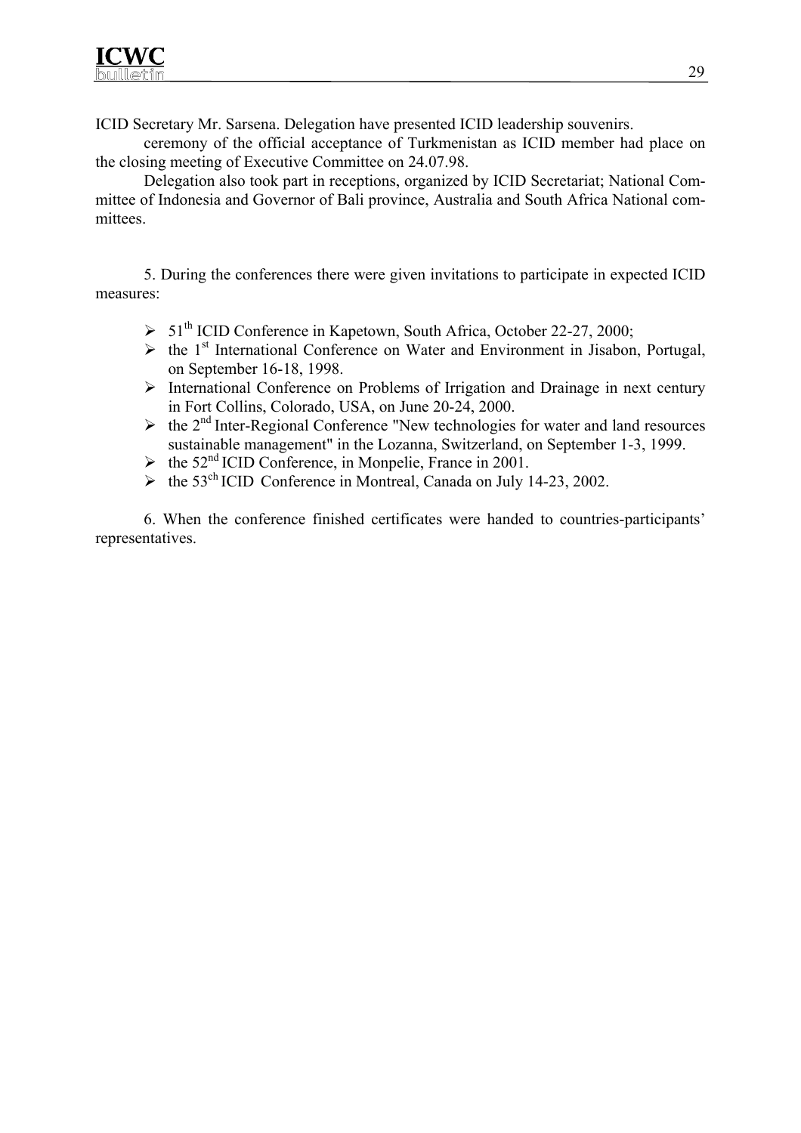ICID Secretary Mr. Sarsena. Delegation have presented ICID leadership souvenirs.

ceremony of the official acceptance of Turkmenistan as ICID member had place on the closing meeting of Executive Committee on 24.07.98.

Delegation also took part in receptions, organized by ICID Secretariat; National Committee of Indonesia and Governor of Bali province, Australia and South Africa National committees.

5. During the conferences there were given invitations to participate in expected ICID measures:

- $> 51<sup>th</sup>$  ICID Conference in Kapetown, South Africa, October 22-27, 2000;
- $\triangleright$  the 1<sup>st</sup> International Conference on Water and Environment in Jisabon, Portugal, on September 16-18, 1998.
- ¾ International Conference on Problems of Irrigation and Drainage in next century in Fort Collins, Colorado, USA, on June 20-24, 2000.
- $\triangleright$  the 2<sup>nd</sup> Inter-Regional Conference "New technologies for water and land resources" sustainable management" in the Lozanna, Switzerland, on September 1-3, 1999.
- $\blacktriangleright$  the 52<sup>nd</sup> ICID Conference, in Monpelie, France in 2001.
- $\geq$  the 53<sup>ch</sup> ICID Conference in Montreal, Canada on July 14-23, 2002.

6. When the conference finished certificates were handed to countries-participants' representatives.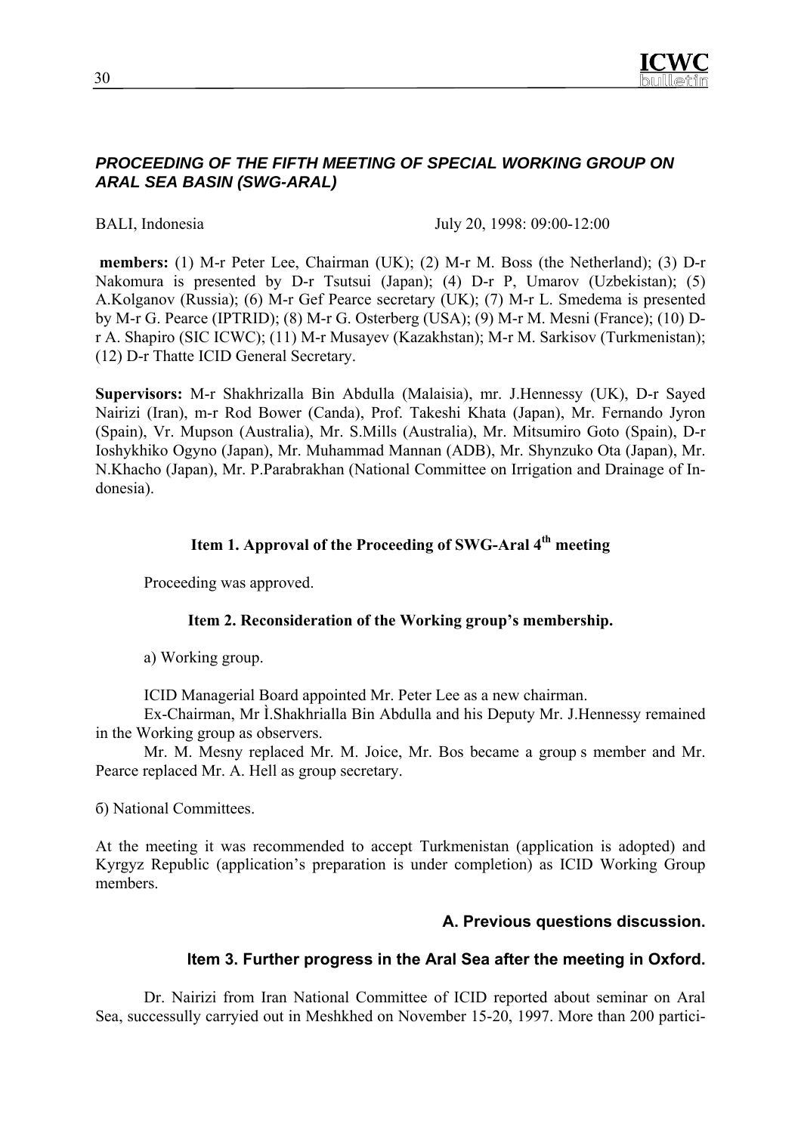

#### *PROCEEDING OF THE FIFTH MEETING OF SPECIAL WORKING GROUP ON ARAL SEA BASIN (SWG-ARAL)*

BALI, Indonesia July 20, 1998: 09:00-12:00

 **members:** (1) M-r Peter Lee, Chairman (UK); (2) M-r M. Boss (the Netherland); (3) D-r Nakomura is presented by D-r Tsutsui (Japan); (4) D-r P, Umarov (Uzbekistan); (5) А.Kolganov (Russia); (6) M-r Gef Pearce secretary (UK); (7) M-r L. Smedema is presented by M-r G. Pearce (IPTRID); (8) M-r G. Osterberg (USA); (9) M-r M. Mesni (France); (10) Dr A. Shapiro (SIC ICWC); (11) M-r Musayev (Kazakhstan); M-r M. Sarkisov (Turkmenistan); (12) D-r Thatte ICID General Secretary.

**Supervisors:** M-r Shakhrizalla Bin Abdulla (Malaisia), mr. J.Hennessy (UK), D-r Sayed Nairizi (Iran), m-r Rod Bower (Canda), Prof. Takeshi Khata (Japan), Mr. Fernando Jyron (Spain), Vr. Mupson (Australia), Mr. S.Mills (Australia), Mr. Mitsumiro Goto (Spain), D-r Ioshykhiko Ogyno (Japan), Mr. Muhammad Mannan (ADB), Mr. Shynzuko Ota (Japan), Mr. N.Khacho (Japan), Mr. P.Parabrakhan (National Committee on Irrigation and Drainage of Indonesia).

## **Item 1. Approval of the Proceeding of SWG-Aral 4th meeting**

Proceeding was approved.

#### **Item 2. Reconsideration of the Working group's membership.**

а) Working group.

ICID Managerial Board appointed Mr. Peter Lee as a new chairman.

Ex-Chairman, Mr Ì.Shakhrialla Bin Abdulla and his Deputy Mr. J.Hennessy remained in the Working group as observers.

Mr. M. Mesny replaced Mr. M. Joice, Mr. Bos became a group s member and Mr. Pearce replaced Mr. A. Hell as group secretary.

б) National Committees.

At the meeting it was recommended to accept Turkmenistan (application is adopted) and Kyrgyz Republic (application's preparation is under completion) as ICID Working Group members.

#### **А. Previous questions discussion.**

#### **Item 3. Further progress in the Aral Sea after the meeting in Oxford.**

Dr. Nairizi from Iran National Committee of ICID reported about seminar on Aral Sea, successully carryied out in Meshkhed on November 15-20, 1997. More than 200 partici-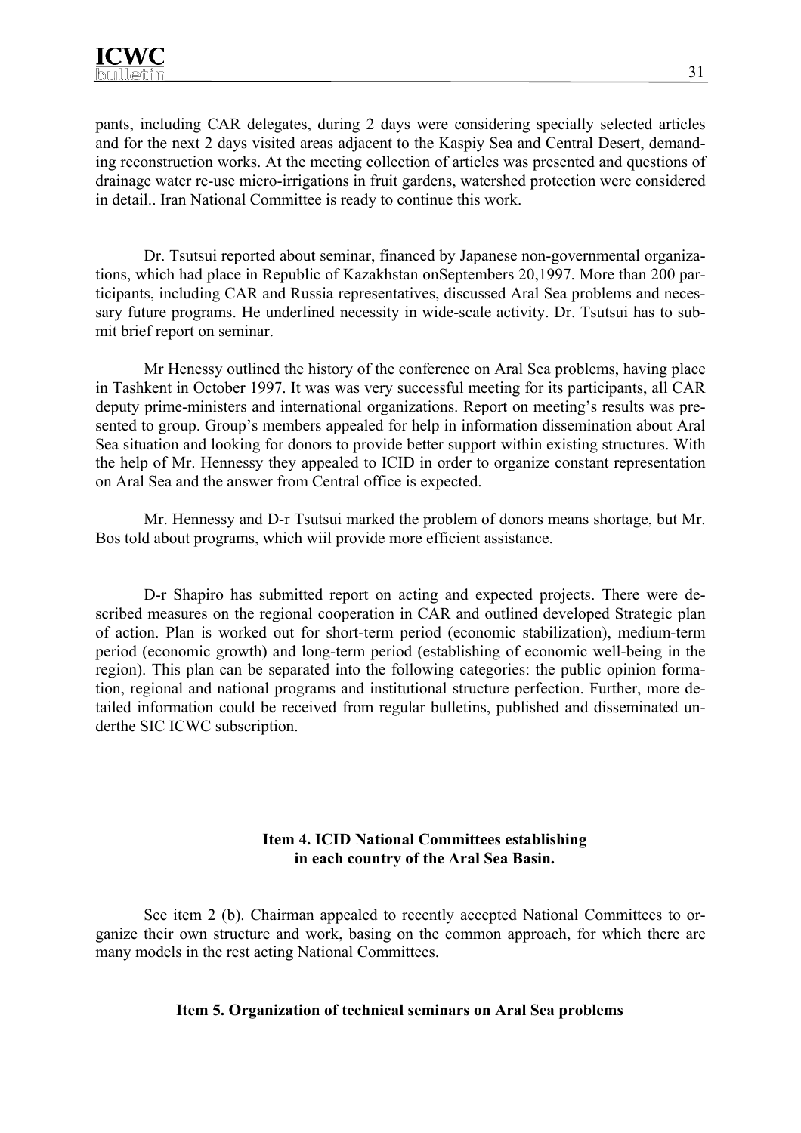pants, including CAR delegates, during 2 days were considering specially selected articles and for the next 2 days visited areas adjacent to the Kaspiy Sea and Central Desert, demanding reconstruction works. At the meeting collection of articles was presented and questions of drainage water re-use micro-irrigations in fruit gardens, watershed protection were considered in detail.. Iran National Committee is ready to continue this work.

Dr. Tsutsui reported about seminar, financed by Japanese non-governmental organizations, which had place in Republic of Kazakhstan onSeptembers 20,1997. More than 200 participants, including CAR and Russia representatives, discussed Aral Sea problems and necessary future programs. He underlined necessity in wide-scale activity. Dr. Tsutsui has to submit brief report on seminar.

Mr Henessy outlined the history of the conference on Aral Sea problems, having place in Tashkent in October 1997. It was was very successful meeting for its participants, all CAR deputy prime-ministers and international organizations. Report on meeting's results was presented to group. Group's members appealed for help in information dissemination about Aral Sea situation and looking for donors to provide better support within existing structures. With the help of Mr. Hennessy they appealed to ICID in order to organize constant representation on Aral Sea and the answer from Central office is expected.

Mr. Hennessy and D-r Tsutsui marked the problem of donors means shortage, but Mr. Bos told about programs, which wiil provide more efficient assistance.

D-r Shapiro has submitted report on acting and expected projects. There were described measures on the regional cooperation in CAR and outlined developed Strategic plan of action. Plan is worked out for short-term period (economic stabilization), medium-term period (economic growth) and long-term period (establishing of economic well-being in the region). This plan can be separated into the following categories: the public opinion formation, regional and national programs and institutional structure perfection. Further, more detailed information could be received from regular bulletins, published and disseminated underthe SIC ICWC subscription.

### **Item 4. ICID National Committees establishing in each country of the Aral Sea Basin.**

See item 2 (b). Chairman appealed to recently accepted National Committees to organize their own structure and work, basing on the common approach, for which there are many models in the rest acting National Committees.

#### **Item 5. Organization of technical seminars on Aral Sea problems**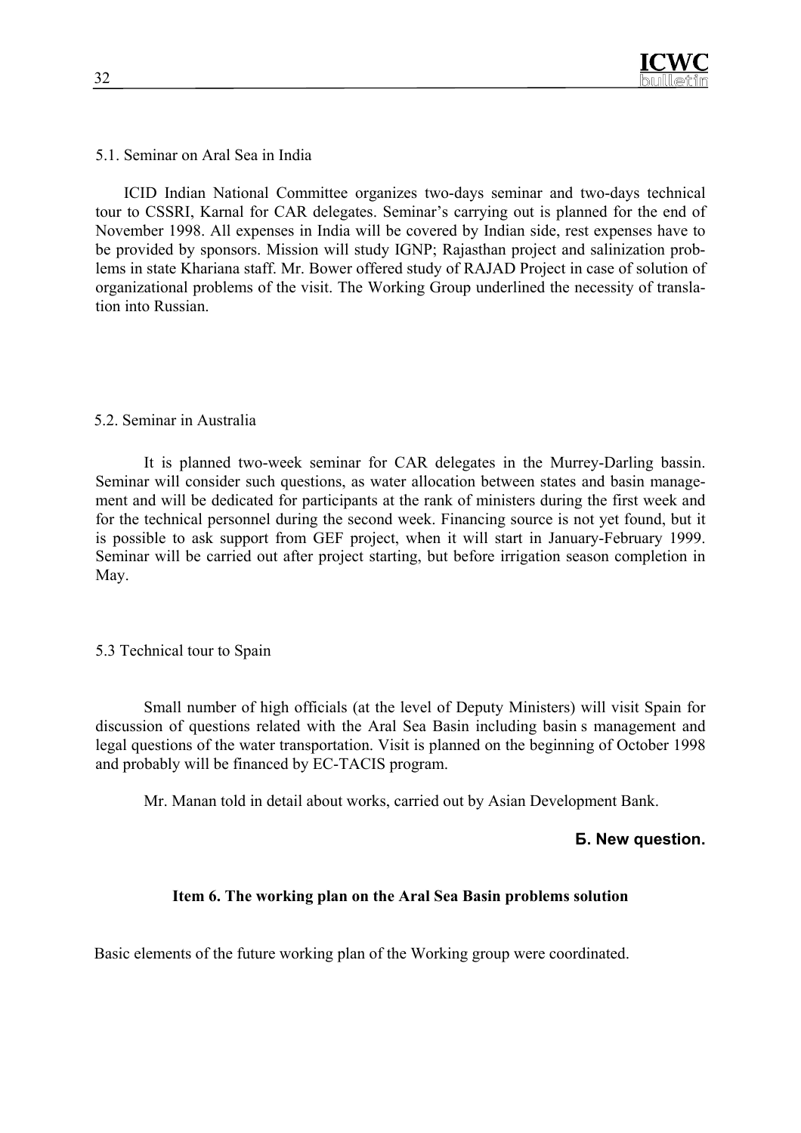5.1. Seminar on Aral Sea in India

ICID Indian National Committee organizes two-days seminar and two-days technical tour to CSSRI, Karnal for CAR delegates. Seminar's carrying out is planned for the end of November 1998. All expenses in India will be covered by Indian side, rest expenses have to be provided by sponsors. Mission will study IGNP; Rajasthan project and salinization problems in state Khariana staff. Mr. Bower offered study of RAJAD Project in case of solution of organizational problems of the visit. The Working Group underlined the necessity of translation into Russian.

#### 5.2. Seminar in Australia

It is planned two-week seminar for CAR delegates in the Murrey-Darling bassin. Seminar will consider such questions, as water allocation between states and basin management and will be dedicated for participants at the rank of ministers during the first week and for the technical personnel during the second week. Financing source is not yet found, but it is possible to ask support from GEF project, when it will start in January-February 1999. Seminar will be carried out after project starting, but before irrigation season completion in May.

## 5.3 Technical tour to Spain

Small number of high officials (at the level of Deputy Ministers) will visit Spain for discussion of questions related with the Aral Sea Basin including basin s management and legal questions of the water transportation. Visit is planned on the beginning of October 1998 and probably will be financed by EC-TACIS program.

Mr. Manan told in detail about works, carried out by Asian Development Bank.

#### **Б. New question.**

#### **Item 6. The working plan on the Aral Sea Basin problems solution**

Basic elements of the future working plan of the Working group were coordinated.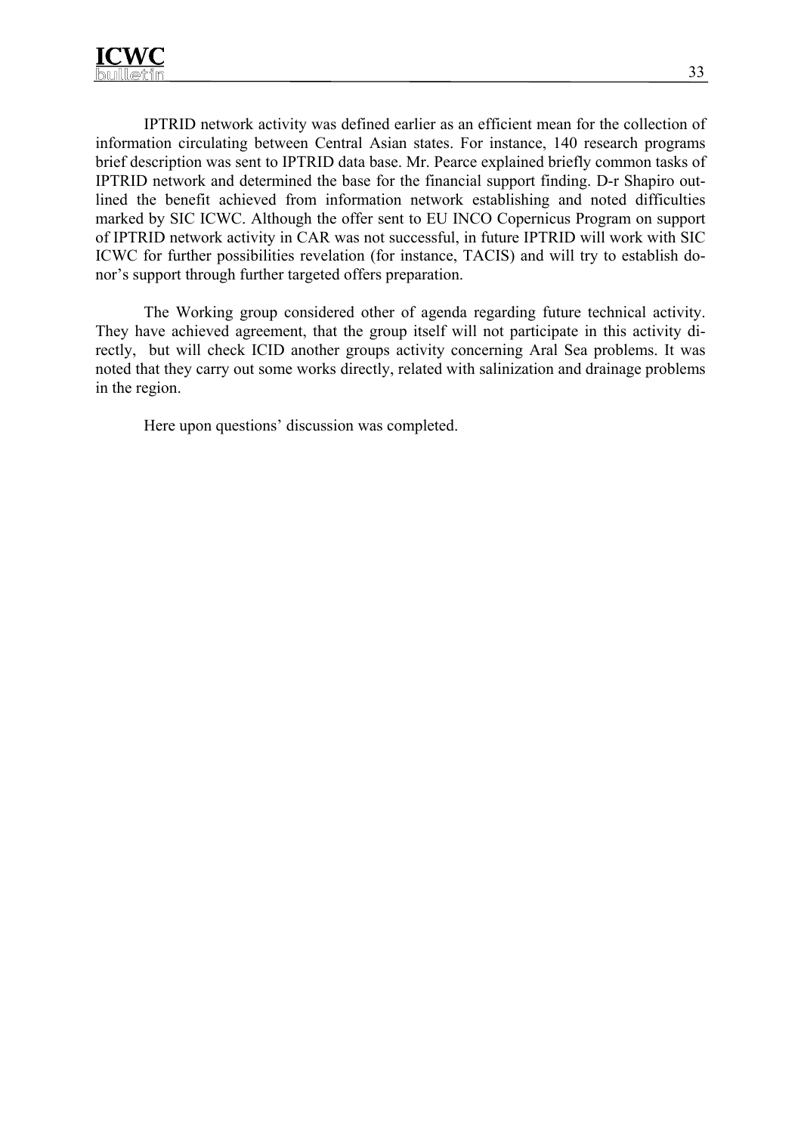IPTRID network activity was defined earlier as an efficient mean for the collection of information circulating between Central Asian states. For instance, 140 research programs brief description was sent to IPTRID data base. Mr. Pearce explained briefly common tasks of IPTRID network and determined the base for the financial support finding. D-r Shapiro outlined the benefit achieved from information network establishing and noted difficulties marked by SIC ICWC. Although the offer sent to EU INCO Copernicus Program on support of IPTRID network activity in CAR was not successful, in future IPTRID will work with SIC ICWC for further possibilities revelation (for instance, TACIS) and will try to establish donor's support through further targeted offers preparation.

The Working group considered other of agenda regarding future technical activity. They have achieved agreement, that the group itself will not participate in this activity directly, but will check ICID another groups activity concerning Aral Sea problems. It was noted that they carry out some works directly, related with salinization and drainage problems in the region.

Here upon questions' discussion was completed.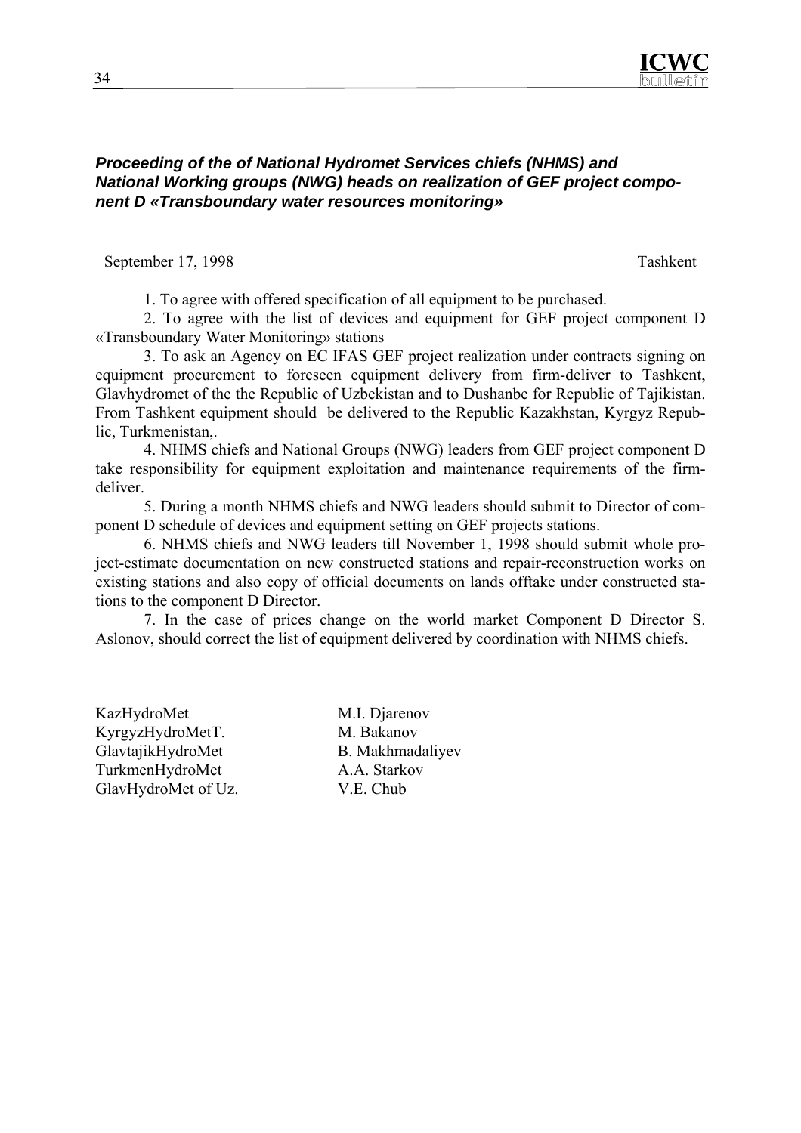

#### *Proceeding of the of National Hydromet Services chiefs (NHMS) and National Working groups (NWG) heads on realization of GEF project component D «Transboundary water resources monitoring»*

September 17, 1998 Tashkent

1. To agree with offered specification of all equipment to be purchased.

2. To agree with the list of devices and equipment for GEF project component D «Transboundary Water Monitoring» stations

3. To ask an Agency on EC IFAS GEF project realization under contracts signing on equipment procurement to foreseen equipment delivery from firm-deliver to Tashkent, Glavhydromet of the the Republic of Uzbekistan and to Dushanbe for Republic of Tajikistan. From Tashkent equipment should be delivered to the Republic Kazakhstan, Kyrgyz Republic, Turkmenistan,.

4. NHMS сhiefs and National Groups (NWG) leaders from GEF project component D take responsibility for equipment exploitation and maintenance requirements of the firmdeliver.

5. During a month NHMS chiefs and NWG leaders should submit to Director of component D schedule of devices and equipment setting on GEF projects stations.

6. NHMS chiefs and NWG leaders till November 1, 1998 should submit whole project-estimate documentation on new constructed stations and repair-reconstruction works on existing stations and also copy of official documents on lands offtake under constructed stations to the component D Director.

7. In the case of prices change on the world market Component D Director S. Aslonov, should correct the list of equipment delivered by coordination with NHMS chiefs.

KazHydroMet M.I. Djarenov KyrgyzHydroMetT. M. Bakanov GlavtajikHydroMet B. Makhmadaliyev TurkmenHydroMet A.A. Starkov GlavHydroMet of Uz. V.E. Chub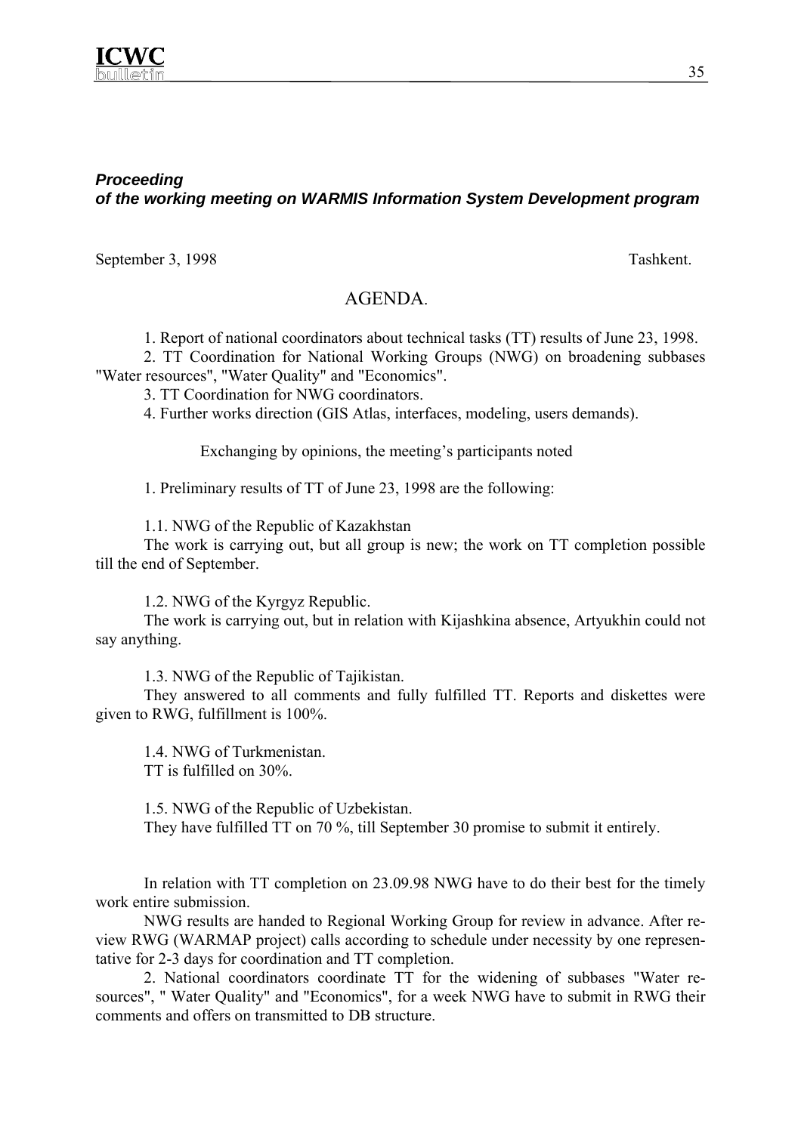

## *Proceeding of the working meeting on WARMIS Information System Development program*

September 3, 1998 Tashkent.

## AGENDA.

1. Report of national coordinators about technical tasks (TT) results of June 23, 1998.

2. TT Coordination for National Working Groups (NWG) on broadening subbases "Water resources", "Water Quality" and "Economics".

3. ТT Coordination for NWG coordinators.

4. Further works direction (GIS Atlas, interfaces, modeling, users demands).

Exchanging by opinions, the meeting's participants noted

1. Preliminary results of TT of June 23, 1998 are the following:

1.1. NWG of the Republic of Kazakhstan

The work is carrying out, but all group is new; the work on TT completion possible till the end of September.

1.2. NWG of the Kyrgyz Republic.

The work is carrying out, but in relation with Kijashkina absence, Artyukhin could not say anything.

1.3. NWG of the Republic of Tajikistan.

They answered to all comments and fully fulfilled TT. Reports and diskettes were given to RWG, fulfillment is 100%.

1.4. NWG of Turkmenistan. TT is fulfilled on 30%.

1.5. NWG of the Republic of Uzbekistan. They have fulfilled TT on 70 %, till September 30 promise to submit it entirely.

In relation with TT completion on 23.09.98 NWG have to do their best for the timely work entire submission.

NWG results are handed to Regional Working Group for review in advance. After review RWG (WARMAP project) calls according to schedule under necessity by one representative for 2-3 days for coordination and TT completion.

2. National coordinators coordinate TT for the widening of subbases "Water resources", " Water Quality" and "Economics", for a week NWG have to submit in RWG their comments and offers on transmitted to DB structure.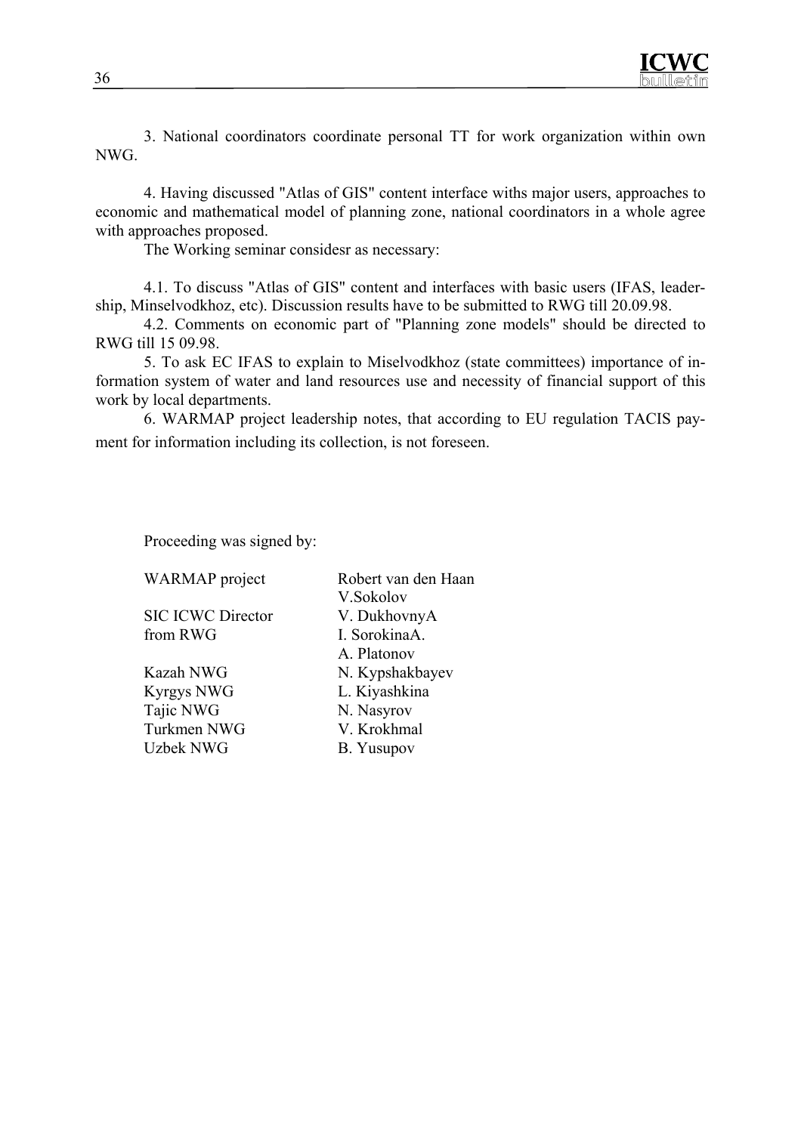3. National coordinators coordinate personal TT for work organization within own NWG.

4. Having discussed "Atlas of GIS" content interface withs major users, approaches to economic and mathematical model of planning zone, national coordinators in a whole agree with approaches proposed.

The Working seminar considesr as necessary:

4.1. To discuss "Atlas of GIS" content and interfaces with basic users (IFAS, leadership, Minselvodkhoz, etc). Discussion results have to be submitted to RWG till 20.09.98.

4.2. Comments on economic part of "Planning zone models" should be directed to RWG till 15 09.98.

5. To ask EC IFAS to explain to Miselvodkhoz (state committees) importance of information system of water and land resources use and necessity of financial support of this work by local departments.

6. WARMAP project leadership notes, that according to EU regulation TACIS payment for information including its collection, is not foreseen.

Proceeding was signed by:

SIC ICWC Director V. DukhovnyA from RWG I. SorokinaA.

Kyrgys NWG L. Kiyashkina Tajic NWG N. Nasyrov Turkmen NWG V. Krokhmal Uzbek NWG B. Yusupov

WARMAP project Robert van den Haan V.Sokolov A. Platonov Kazah NWG N. Kypshakbayev